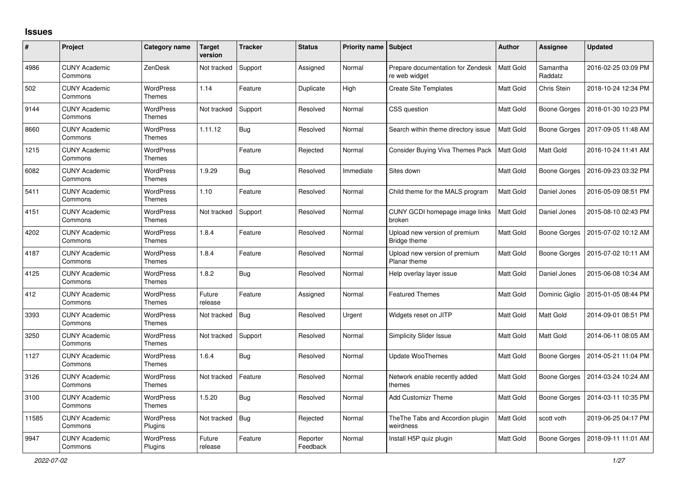## **Issues**

| #     | Project                         | <b>Category name</b>              | <b>Target</b><br>version | <b>Tracker</b> | <b>Status</b>        | Priority name   Subject |                                                    | <b>Author</b>    | <b>Assignee</b>     | <b>Updated</b>      |
|-------|---------------------------------|-----------------------------------|--------------------------|----------------|----------------------|-------------------------|----------------------------------------------------|------------------|---------------------|---------------------|
| 4986  | <b>CUNY Academic</b><br>Commons | ZenDesk                           | Not tracked              | Support        | Assigned             | Normal                  | Prepare documentation for Zendesk<br>re web widget | <b>Matt Gold</b> | Samantha<br>Raddatz | 2016-02-25 03:09 PM |
| 502   | <b>CUNY Academic</b><br>Commons | <b>WordPress</b><br>Themes        | 1.14                     | Feature        | Duplicate            | High                    | <b>Create Site Templates</b>                       | Matt Gold        | Chris Stein         | 2018-10-24 12:34 PM |
| 9144  | <b>CUNY Academic</b><br>Commons | <b>WordPress</b><br>Themes        | Not tracked              | Support        | Resolved             | Normal                  | CSS question                                       | Matt Gold        | Boone Gorges        | 2018-01-30 10:23 PM |
| 8660  | <b>CUNY Academic</b><br>Commons | <b>WordPress</b><br>Themes        | 1.11.12                  | <b>Bug</b>     | Resolved             | Normal                  | Search within theme directory issue                | Matt Gold        | Boone Gorges        | 2017-09-05 11:48 AM |
| 1215  | <b>CUNY Academic</b><br>Commons | <b>WordPress</b><br><b>Themes</b> |                          | Feature        | Rejected             | Normal                  | <b>Consider Buying Viva Themes Pack</b>            | Matt Gold        | <b>Matt Gold</b>    | 2016-10-24 11:41 AM |
| 6082  | <b>CUNY Academic</b><br>Commons | <b>WordPress</b><br>Themes        | 1.9.29                   | Bug            | Resolved             | Immediate               | Sites down                                         | Matt Gold        | Boone Gorges        | 2016-09-23 03:32 PM |
| 5411  | <b>CUNY Academic</b><br>Commons | <b>WordPress</b><br><b>Themes</b> | 1.10                     | Feature        | Resolved             | Normal                  | Child theme for the MALS program                   | Matt Gold        | Daniel Jones        | 2016-05-09 08:51 PM |
| 4151  | <b>CUNY Academic</b><br>Commons | <b>WordPress</b><br>Themes        | Not tracked              | Support        | Resolved             | Normal                  | CUNY GCDI homepage image links<br>broken           | Matt Gold        | Daniel Jones        | 2015-08-10 02:43 PM |
| 4202  | <b>CUNY Academic</b><br>Commons | <b>WordPress</b><br><b>Themes</b> | 1.8.4                    | Feature        | Resolved             | Normal                  | Upload new version of premium<br>Bridge theme      | Matt Gold        | Boone Gorges        | 2015-07-02 10:12 AM |
| 4187  | <b>CUNY Academic</b><br>Commons | <b>WordPress</b><br><b>Themes</b> | 1.8.4                    | Feature        | Resolved             | Normal                  | Upload new version of premium<br>Planar theme      | Matt Gold        | Boone Gorges        | 2015-07-02 10:11 AM |
| 4125  | <b>CUNY Academic</b><br>Commons | <b>WordPress</b><br>Themes        | 1.8.2                    | <b>Bug</b>     | Resolved             | Normal                  | Help overlay layer issue                           | Matt Gold        | Daniel Jones        | 2015-06-08 10:34 AM |
| 412   | <b>CUNY Academic</b><br>Commons | <b>WordPress</b><br><b>Themes</b> | Future<br>release        | Feature        | Assigned             | Normal                  | <b>Featured Themes</b>                             | Matt Gold        | Dominic Giglio      | 2015-01-05 08:44 PM |
| 3393  | <b>CUNY Academic</b><br>Commons | <b>WordPress</b><br>Themes        | Not tracked              | <b>Bug</b>     | Resolved             | Urgent                  | Widgets reset on JITP                              | <b>Matt Gold</b> | Matt Gold           | 2014-09-01 08:51 PM |
| 3250  | <b>CUNY Academic</b><br>Commons | <b>WordPress</b><br><b>Themes</b> | Not tracked              | Support        | Resolved             | Normal                  | <b>Simplicity Slider Issue</b>                     | Matt Gold        | Matt Gold           | 2014-06-11 08:05 AM |
| 1127  | <b>CUNY Academic</b><br>Commons | <b>WordPress</b><br>Themes        | 1.6.4                    | Bug            | Resolved             | Normal                  | Update WooThemes                                   | Matt Gold        | Boone Gorges        | 2014-05-21 11:04 PM |
| 3126  | <b>CUNY Academic</b><br>Commons | <b>WordPress</b><br><b>Themes</b> | Not tracked              | Feature        | Resolved             | Normal                  | Network enable recently added<br>themes            | Matt Gold        | Boone Gorges        | 2014-03-24 10:24 AM |
| 3100  | <b>CUNY Academic</b><br>Commons | <b>WordPress</b><br>Themes        | 1.5.20                   | Bug            | Resolved             | Normal                  | <b>Add Customizr Theme</b>                         | Matt Gold        | Boone Gorges        | 2014-03-11 10:35 PM |
| 11585 | <b>CUNY Academic</b><br>Commons | <b>WordPress</b><br>Plugins       | Not tracked              | Bug            | Rejected             | Normal                  | The The Tabs and Accordion plugin<br>weirdness     | Matt Gold        | scott voth          | 2019-06-25 04:17 PM |
| 9947  | CUNY Academic<br>Commons        | <b>WordPress</b><br>Plugins       | Future<br>release        | Feature        | Reporter<br>Feedback | Normal                  | Install H5P quiz plugin                            | Matt Gold        | Boone Gorges        | 2018-09-11 11:01 AM |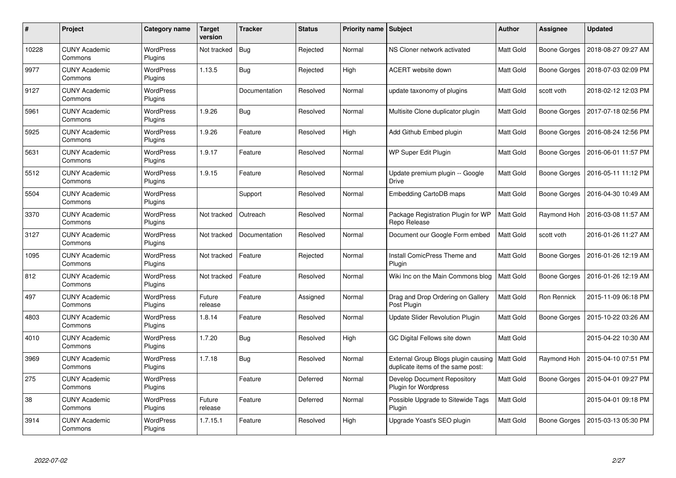| #     | Project                         | Category name               | <b>Target</b><br>version | <b>Tracker</b> | <b>Status</b> | <b>Priority name   Subject</b> |                                                                          | <b>Author</b>    | <b>Assignee</b>     | <b>Updated</b>      |
|-------|---------------------------------|-----------------------------|--------------------------|----------------|---------------|--------------------------------|--------------------------------------------------------------------------|------------------|---------------------|---------------------|
| 10228 | <b>CUNY Academic</b><br>Commons | <b>WordPress</b><br>Plugins | Not tracked              | <b>Bug</b>     | Rejected      | Normal                         | NS Cloner network activated                                              | Matt Gold        | Boone Gorges        | 2018-08-27 09:27 AM |
| 9977  | <b>CUNY Academic</b><br>Commons | <b>WordPress</b><br>Plugins | 1.13.5                   | <b>Bug</b>     | Rejected      | High                           | ACERT website down                                                       | Matt Gold        | Boone Gorges        | 2018-07-03 02:09 PM |
| 9127  | <b>CUNY Academic</b><br>Commons | <b>WordPress</b><br>Plugins |                          | Documentation  | Resolved      | Normal                         | update taxonomy of plugins                                               | Matt Gold        | scott voth          | 2018-02-12 12:03 PM |
| 5961  | <b>CUNY Academic</b><br>Commons | <b>WordPress</b><br>Plugins | 1.9.26                   | <b>Bug</b>     | Resolved      | Normal                         | Multisite Clone duplicator plugin                                        | Matt Gold        | Boone Gorges        | 2017-07-18 02:56 PM |
| 5925  | <b>CUNY Academic</b><br>Commons | <b>WordPress</b><br>Plugins | 1.9.26                   | Feature        | Resolved      | High                           | Add Github Embed plugin                                                  | Matt Gold        | Boone Gorges        | 2016-08-24 12:56 PM |
| 5631  | <b>CUNY Academic</b><br>Commons | <b>WordPress</b><br>Plugins | 1.9.17                   | Feature        | Resolved      | Normal                         | WP Super Edit Plugin                                                     | Matt Gold        | Boone Gorges        | 2016-06-01 11:57 PM |
| 5512  | <b>CUNY Academic</b><br>Commons | <b>WordPress</b><br>Plugins | 1.9.15                   | Feature        | Resolved      | Normal                         | Update premium plugin -- Google<br>Drive                                 | Matt Gold        | Boone Gorges        | 2016-05-11 11:12 PM |
| 5504  | <b>CUNY Academic</b><br>Commons | WordPress<br>Plugins        |                          | Support        | Resolved      | Normal                         | Embedding CartoDB maps                                                   | Matt Gold        | Boone Gorges        | 2016-04-30 10:49 AM |
| 3370  | <b>CUNY Academic</b><br>Commons | WordPress<br>Plugins        | Not tracked              | Outreach       | Resolved      | Normal                         | Package Registration Plugin for WP<br>Repo Release                       | Matt Gold        | Raymond Hoh         | 2016-03-08 11:57 AM |
| 3127  | <b>CUNY Academic</b><br>Commons | <b>WordPress</b><br>Plugins | Not tracked              | Documentation  | Resolved      | Normal                         | Document our Google Form embed                                           | Matt Gold        | scott voth          | 2016-01-26 11:27 AM |
| 1095  | <b>CUNY Academic</b><br>Commons | <b>WordPress</b><br>Plugins | Not tracked              | Feature        | Rejected      | Normal                         | Install ComicPress Theme and<br>Plugin                                   | Matt Gold        | Boone Gorges        | 2016-01-26 12:19 AM |
| 812   | <b>CUNY Academic</b><br>Commons | <b>WordPress</b><br>Plugins | Not tracked              | Feature        | Resolved      | Normal                         | Wiki Inc on the Main Commons blog                                        | Matt Gold        | Boone Gorges        | 2016-01-26 12:19 AM |
| 497   | <b>CUNY Academic</b><br>Commons | WordPress<br>Plugins        | Future<br>release        | Feature        | Assigned      | Normal                         | Drag and Drop Ordering on Gallery<br>Post Plugin                         | Matt Gold        | Ron Rennick         | 2015-11-09 06:18 PM |
| 4803  | <b>CUNY Academic</b><br>Commons | <b>WordPress</b><br>Plugins | 1.8.14                   | Feature        | Resolved      | Normal                         | Update Slider Revolution Plugin                                          | Matt Gold        | Boone Gorges        | 2015-10-22 03:26 AM |
| 4010  | <b>CUNY Academic</b><br>Commons | WordPress<br>Plugins        | 1.7.20                   | <b>Bug</b>     | Resolved      | High                           | GC Digital Fellows site down                                             | Matt Gold        |                     | 2015-04-22 10:30 AM |
| 3969  | <b>CUNY Academic</b><br>Commons | <b>WordPress</b><br>Plugins | 1.7.18                   | Bug            | Resolved      | Normal                         | External Group Blogs plugin causing<br>duplicate items of the same post: | <b>Matt Gold</b> | Raymond Hoh         | 2015-04-10 07:51 PM |
| 275   | <b>CUNY Academic</b><br>Commons | <b>WordPress</b><br>Plugins |                          | Feature        | Deferred      | Normal                         | Develop Document Repository<br><b>Plugin for Wordpress</b>               | Matt Gold        | Boone Gorges        | 2015-04-01 09:27 PM |
| 38    | <b>CUNY Academic</b><br>Commons | <b>WordPress</b><br>Plugins | Future<br>release        | Feature        | Deferred      | Normal                         | Possible Upgrade to Sitewide Tags<br>Plugin                              | Matt Gold        |                     | 2015-04-01 09:18 PM |
| 3914  | CUNY Academic<br>Commons        | WordPress<br>Plugins        | 1.7.15.1                 | Feature        | Resolved      | High                           | Upgrade Yoast's SEO plugin                                               | Matt Gold        | <b>Boone Gorges</b> | 2015-03-13 05:30 PM |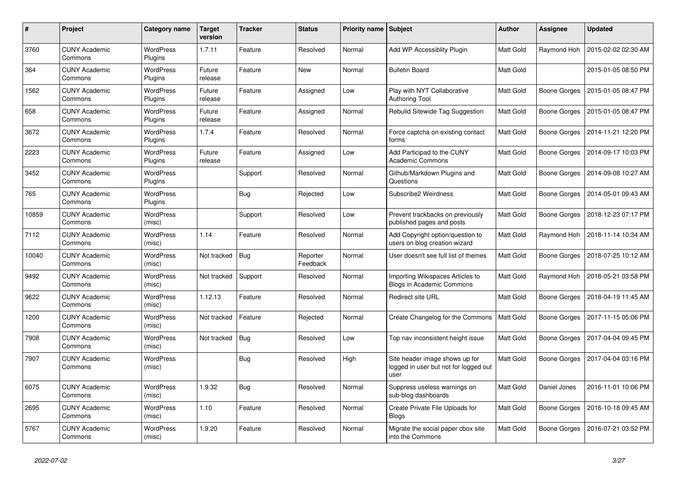| #     | Project                         | Category name               | <b>Target</b><br>version | <b>Tracker</b> | <b>Status</b>        | Priority name Subject |                                                                                 | <b>Author</b>    | <b>Assignee</b>     | <b>Updated</b>      |
|-------|---------------------------------|-----------------------------|--------------------------|----------------|----------------------|-----------------------|---------------------------------------------------------------------------------|------------------|---------------------|---------------------|
| 3760  | <b>CUNY Academic</b><br>Commons | WordPress<br>Plugins        | 1.7.11                   | Feature        | Resolved             | Normal                | Add WP Accessiblity Plugin                                                      | Matt Gold        | Raymond Hoh         | 2015-02-02 02:30 AM |
| 364   | <b>CUNY Academic</b><br>Commons | <b>WordPress</b><br>Plugins | Future<br>release        | Feature        | <b>New</b>           | Normal                | <b>Bulletin Board</b>                                                           | Matt Gold        |                     | 2015-01-05 08:50 PM |
| 1562  | <b>CUNY Academic</b><br>Commons | WordPress<br>Plugins        | Future<br>release        | Feature        | Assigned             | Low                   | Play with NYT Collaborative<br><b>Authoring Tool</b>                            | Matt Gold        | Boone Gorges        | 2015-01-05 08:47 PM |
| 658   | <b>CUNY Academic</b><br>Commons | WordPress<br>Plugins        | Future<br>release        | Feature        | Assigned             | Normal                | Rebulid Sitewide Tag Suggestion                                                 | Matt Gold        | Boone Gorges        | 2015-01-05 08:47 PM |
| 3672  | <b>CUNY Academic</b><br>Commons | WordPress<br>Plugins        | 1.7.4                    | Feature        | Resolved             | Normal                | Force captcha on existing contact<br>forms                                      | Matt Gold        | Boone Gorges        | 2014-11-21 12:20 PM |
| 2223  | <b>CUNY Academic</b><br>Commons | <b>WordPress</b><br>Plugins | Future<br>release        | Feature        | Assigned             | Low                   | Add Participad to the CUNY<br><b>Academic Commons</b>                           | Matt Gold        | Boone Gorges        | 2014-09-17 10:03 PM |
| 3452  | <b>CUNY Academic</b><br>Commons | WordPress<br>Plugins        |                          | Support        | Resolved             | Normal                | Github/Markdown Plugins and<br>Questions                                        | Matt Gold        | Boone Gorges        | 2014-09-08 10:27 AM |
| 765   | <b>CUNY Academic</b><br>Commons | WordPress<br>Plugins        |                          | Bug            | Rejected             | Low                   | Subscribe2 Weirdness                                                            | <b>Matt Gold</b> | <b>Boone Gorges</b> | 2014-05-01 09:43 AM |
| 10859 | <b>CUNY Academic</b><br>Commons | WordPress<br>(misc)         |                          | Support        | Resolved             | Low                   | Prevent trackbacks on previously<br>published pages and posts                   | Matt Gold        | <b>Boone Gorges</b> | 2018-12-23 07:17 PM |
| 7112  | <b>CUNY Academic</b><br>Commons | WordPress<br>(misc)         | 1.14                     | Feature        | Resolved             | Normal                | Add Copyright option/question to<br>users on blog creation wizard               | Matt Gold        | Raymond Hoh         | 2018-11-14 10:34 AM |
| 10040 | <b>CUNY Academic</b><br>Commons | WordPress<br>(misc)         | Not tracked              | Bug            | Reporter<br>Feedback | Normal                | User doesn't see full list of themes                                            | Matt Gold        | Boone Gorges        | 2018-07-25 10:12 AM |
| 9492  | <b>CUNY Academic</b><br>Commons | WordPress<br>(misc)         | Not tracked              | Support        | Resolved             | Normal                | Importing Wikispaces Articles to<br><b>Blogs in Academic Commons</b>            | Matt Gold        | Raymond Hoh         | 2018-05-21 03:58 PM |
| 9622  | <b>CUNY Academic</b><br>Commons | WordPress<br>(misc)         | 1.12.13                  | Feature        | Resolved             | Normal                | Redirect site URL                                                               | Matt Gold        | Boone Gorges        | 2018-04-19 11:45 AM |
| 1200  | <b>CUNY Academic</b><br>Commons | <b>WordPress</b><br>(misc)  | Not tracked              | Feature        | Rejected             | Normal                | Create Changelog for the Commons                                                | Matt Gold        | Boone Gorges        | 2017-11-15 05:06 PM |
| 7908  | <b>CUNY Academic</b><br>Commons | WordPress<br>(misc)         | Not tracked              | <b>Bug</b>     | Resolved             | Low                   | Top nav inconsistent height issue                                               | Matt Gold        | <b>Boone Gorges</b> | 2017-04-04 09:45 PM |
| 7907  | <b>CUNY Academic</b><br>Commons | WordPress<br>(misc)         |                          | <b>Bug</b>     | Resolved             | High                  | Site header image shows up for<br>logged in user but not for logged out<br>user | Matt Gold        | <b>Boone Gorges</b> | 2017-04-04 03:16 PM |
| 6075  | <b>CUNY Academic</b><br>Commons | WordPress<br>(misc)         | 1.9.32                   | Bug            | Resolved             | Normal                | Suppress useless warnings on<br>sub-blog dashboards                             | Matt Gold        | Daniel Jones        | 2016-11-01 10:06 PM |
| 2695  | <b>CUNY Academic</b><br>Commons | <b>WordPress</b><br>(misc)  | 1.10                     | Feature        | Resolved             | Normal                | Create Private File Uploads for<br><b>Blogs</b>                                 | Matt Gold        | Boone Gorges        | 2016-10-18 09:45 AM |
| 5767  | <b>CUNY Academic</b><br>Commons | WordPress<br>(misc)         | 1.9.20                   | Feature        | Resolved             | Normal                | Migrate the social paper cbox site<br>into the Commons                          | Matt Gold        | Boone Gorges        | 2016-07-21 03:52 PM |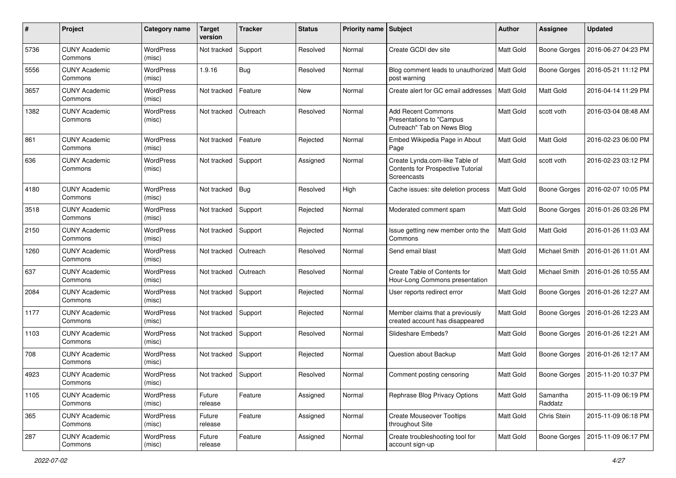| #    | Project                         | Category name              | <b>Target</b><br>version | <b>Tracker</b> | <b>Status</b> | <b>Priority name</b> | <b>Subject</b>                                                                      | <b>Author</b>    | <b>Assignee</b>      | <b>Updated</b>      |
|------|---------------------------------|----------------------------|--------------------------|----------------|---------------|----------------------|-------------------------------------------------------------------------------------|------------------|----------------------|---------------------|
| 5736 | <b>CUNY Academic</b><br>Commons | WordPress<br>(misc)        | Not tracked              | Support        | Resolved      | Normal               | Create GCDI dev site                                                                | Matt Gold        | <b>Boone Gorges</b>  | 2016-06-27 04:23 PM |
| 5556 | <b>CUNY Academic</b><br>Commons | WordPress<br>(misc)        | 1.9.16                   | <b>Bug</b>     | Resolved      | Normal               | Blog comment leads to unauthorized   Matt Gold<br>post warning                      |                  | <b>Boone Gorges</b>  | 2016-05-21 11:12 PM |
| 3657 | <b>CUNY Academic</b><br>Commons | <b>WordPress</b><br>(misc) | Not tracked              | Feature        | <b>New</b>    | Normal               | Create alert for GC email addresses                                                 | <b>Matt Gold</b> | Matt Gold            | 2016-04-14 11:29 PM |
| 1382 | <b>CUNY Academic</b><br>Commons | WordPress<br>(misc)        | Not tracked              | Outreach       | Resolved      | Normal               | <b>Add Recent Commons</b><br>Presentations to "Campus<br>Outreach" Tab on News Blog | Matt Gold        | scott voth           | 2016-03-04 08:48 AM |
| 861  | <b>CUNY Academic</b><br>Commons | <b>WordPress</b><br>(misc) | Not tracked              | Feature        | Rejected      | Normal               | Embed Wikipedia Page in About<br>Page                                               | <b>Matt Gold</b> | <b>Matt Gold</b>     | 2016-02-23 06:00 PM |
| 636  | <b>CUNY Academic</b><br>Commons | <b>WordPress</b><br>(misc) | Not tracked              | Support        | Assigned      | Normal               | Create Lynda.com-like Table of<br>Contents for Prospective Tutorial<br>Screencasts  | <b>Matt Gold</b> | scott voth           | 2016-02-23 03:12 PM |
| 4180 | <b>CUNY Academic</b><br>Commons | WordPress<br>(misc)        | Not tracked              | Bug            | Resolved      | High                 | Cache issues: site deletion process                                                 | <b>Matt Gold</b> | <b>Boone Gorges</b>  | 2016-02-07 10:05 PM |
| 3518 | <b>CUNY Academic</b><br>Commons | WordPress<br>(misc)        | Not tracked              | Support        | Rejected      | Normal               | Moderated comment spam                                                              | <b>Matt Gold</b> | <b>Boone Gorges</b>  | 2016-01-26 03:26 PM |
| 2150 | <b>CUNY Academic</b><br>Commons | <b>WordPress</b><br>(misc) | Not tracked              | Support        | Rejected      | Normal               | Issue getting new member onto the<br>Commons                                        | Matt Gold        | Matt Gold            | 2016-01-26 11:03 AM |
| 1260 | <b>CUNY Academic</b><br>Commons | WordPress<br>(misc)        | Not tracked              | Outreach       | Resolved      | Normal               | Send email blast                                                                    | Matt Gold        | Michael Smith        | 2016-01-26 11:01 AM |
| 637  | <b>CUNY Academic</b><br>Commons | WordPress<br>(misc)        | Not tracked              | Outreach       | Resolved      | Normal               | Create Table of Contents for<br>Hour-Long Commons presentation                      | Matt Gold        | <b>Michael Smith</b> | 2016-01-26 10:55 AM |
| 2084 | <b>CUNY Academic</b><br>Commons | WordPress<br>(misc)        | Not tracked              | Support        | Rejected      | Normal               | User reports redirect error                                                         | Matt Gold        | <b>Boone Gorges</b>  | 2016-01-26 12:27 AM |
| 1177 | <b>CUNY Academic</b><br>Commons | <b>WordPress</b><br>(misc) | Not tracked              | Support        | Rejected      | Normal               | Member claims that a previously<br>created account has disappeared                  | <b>Matt Gold</b> | <b>Boone Gorges</b>  | 2016-01-26 12:23 AM |
| 1103 | <b>CUNY Academic</b><br>Commons | WordPress<br>(misc)        | Not tracked              | Support        | Resolved      | Normal               | Slideshare Embeds?                                                                  | <b>Matt Gold</b> | <b>Boone Gorges</b>  | 2016-01-26 12:21 AM |
| 708  | <b>CUNY Academic</b><br>Commons | WordPress<br>(misc)        | Not tracked              | Support        | Rejected      | Normal               | Question about Backup                                                               | <b>Matt Gold</b> | Boone Gorges         | 2016-01-26 12:17 AM |
| 4923 | <b>CUNY Academic</b><br>Commons | <b>WordPress</b><br>(misc) | Not tracked              | Support        | Resolved      | Normal               | Comment posting censoring                                                           | Matt Gold        | Boone Gorges         | 2015-11-20 10:37 PM |
| 1105 | <b>CUNY Academic</b><br>Commons | WordPress<br>(misc)        | Future<br>release        | Feature        | Assigned      | Normal               | Rephrase Blog Privacy Options                                                       | Matt Gold        | Samantha<br>Raddatz  | 2015-11-09 06:19 PM |
| 365  | <b>CUNY Academic</b><br>Commons | WordPress<br>(misc)        | Future<br>release        | Feature        | Assigned      | Normal               | <b>Create Mouseover Tooltips</b><br>throughout Site                                 | <b>Matt Gold</b> | Chris Stein          | 2015-11-09 06:18 PM |
| 287  | <b>CUNY Academic</b><br>Commons | WordPress<br>(misc)        | Future<br>release        | Feature        | Assigned      | Normal               | Create troubleshooting tool for<br>account sign-up                                  | Matt Gold        | <b>Boone Gorges</b>  | 2015-11-09 06:17 PM |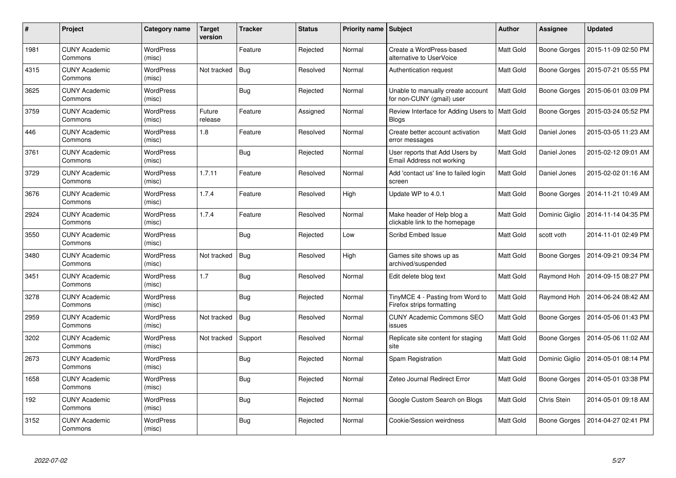| #    | Project                         | Category name              | <b>Target</b><br>version | <b>Tracker</b> | <b>Status</b> | <b>Priority name   Subject</b> |                                                                | Author           | <b>Assignee</b>     | <b>Updated</b>      |
|------|---------------------------------|----------------------------|--------------------------|----------------|---------------|--------------------------------|----------------------------------------------------------------|------------------|---------------------|---------------------|
| 1981 | <b>CUNY Academic</b><br>Commons | <b>WordPress</b><br>(misc) |                          | Feature        | Rejected      | Normal                         | Create a WordPress-based<br>alternative to UserVoice           | Matt Gold        | Boone Gorges        | 2015-11-09 02:50 PM |
| 4315 | <b>CUNY Academic</b><br>Commons | WordPress<br>(misc)        | Not tracked              | Bug            | Resolved      | Normal                         | Authentication request                                         | Matt Gold        | Boone Gorges        | 2015-07-21 05:55 PM |
| 3625 | <b>CUNY Academic</b><br>Commons | <b>WordPress</b><br>(misc) |                          | <b>Bug</b>     | Rejected      | Normal                         | Unable to manually create account<br>for non-CUNY (gmail) user | Matt Gold        | Boone Gorges        | 2015-06-01 03:09 PM |
| 3759 | <b>CUNY Academic</b><br>Commons | <b>WordPress</b><br>(misc) | Future<br>release        | Feature        | Assigned      | Normal                         | Review Interface for Adding Users to<br><b>Blogs</b>           | <b>Matt Gold</b> | <b>Boone Gorges</b> | 2015-03-24 05:52 PM |
| 446  | <b>CUNY Academic</b><br>Commons | <b>WordPress</b><br>(misc) | 1.8                      | Feature        | Resolved      | Normal                         | Create better account activation<br>error messages             | Matt Gold        | Daniel Jones        | 2015-03-05 11:23 AM |
| 3761 | <b>CUNY Academic</b><br>Commons | <b>WordPress</b><br>(misc) |                          | Bug            | Rejected      | Normal                         | User reports that Add Users by<br>Email Address not working    | Matt Gold        | Daniel Jones        | 2015-02-12 09:01 AM |
| 3729 | <b>CUNY Academic</b><br>Commons | <b>WordPress</b><br>(misc) | 1.7.11                   | Feature        | Resolved      | Normal                         | Add 'contact us' line to failed login<br>screen                | Matt Gold        | Daniel Jones        | 2015-02-02 01:16 AM |
| 3676 | <b>CUNY Academic</b><br>Commons | WordPress<br>(misc)        | 1.7.4                    | Feature        | Resolved      | High                           | Update WP to 4.0.1                                             | Matt Gold        | Boone Gorges        | 2014-11-21 10:49 AM |
| 2924 | <b>CUNY Academic</b><br>Commons | <b>WordPress</b><br>(misc) | 1.7.4                    | Feature        | Resolved      | Normal                         | Make header of Help blog a<br>clickable link to the homepage   | Matt Gold        | Dominic Giglio      | 2014-11-14 04:35 PM |
| 3550 | <b>CUNY Academic</b><br>Commons | <b>WordPress</b><br>(misc) |                          | Bug            | Rejected      | Low                            | <b>Scribd Embed Issue</b>                                      | Matt Gold        | scott voth          | 2014-11-01 02:49 PM |
| 3480 | <b>CUNY Academic</b><br>Commons | <b>WordPress</b><br>(misc) | Not tracked              | <b>Bug</b>     | Resolved      | High                           | Games site shows up as<br>archived/suspended                   | Matt Gold        | Boone Gorges        | 2014-09-21 09:34 PM |
| 3451 | <b>CUNY Academic</b><br>Commons | <b>WordPress</b><br>(misc) | 1.7                      | <b>Bug</b>     | Resolved      | Normal                         | Edit delete blog text                                          | Matt Gold        | Raymond Hoh         | 2014-09-15 08:27 PM |
| 3278 | <b>CUNY Academic</b><br>Commons | <b>WordPress</b><br>(misc) |                          | Bug            | Rejected      | Normal                         | TinyMCE 4 - Pasting from Word to<br>Firefox strips formatting  | Matt Gold        | Raymond Hoh         | 2014-06-24 08:42 AM |
| 2959 | <b>CUNY Academic</b><br>Commons | <b>WordPress</b><br>(misc) | Not tracked              | <b>Bug</b>     | Resolved      | Normal                         | <b>CUNY Academic Commons SEO</b><br>issues                     | Matt Gold        | Boone Gorges        | 2014-05-06 01:43 PM |
| 3202 | <b>CUNY Academic</b><br>Commons | WordPress<br>(misc)        | Not tracked              | Support        | Resolved      | Normal                         | Replicate site content for staging<br>site                     | Matt Gold        | Boone Gorges        | 2014-05-06 11:02 AM |
| 2673 | <b>CUNY Academic</b><br>Commons | <b>WordPress</b><br>(misc) |                          | <b>Bug</b>     | Rejected      | Normal                         | Spam Registration                                              | Matt Gold        | Dominic Giglio      | 2014-05-01 08:14 PM |
| 1658 | <b>CUNY Academic</b><br>Commons | WordPress<br>(misc)        |                          | Bug            | Rejected      | Normal                         | Zeteo Journal Redirect Error                                   | Matt Gold        | Boone Gorges        | 2014-05-01 03:38 PM |
| 192  | <b>CUNY Academic</b><br>Commons | <b>WordPress</b><br>(misc) |                          | <b>Bug</b>     | Rejected      | Normal                         | Google Custom Search on Blogs                                  | Matt Gold        | Chris Stein         | 2014-05-01 09:18 AM |
| 3152 | <b>CUNY Academic</b><br>Commons | <b>WordPress</b><br>(misc) |                          | <b>Bug</b>     | Rejected      | Normal                         | Cookie/Session weirdness                                       | Matt Gold        | Boone Gorges        | 2014-04-27 02:41 PM |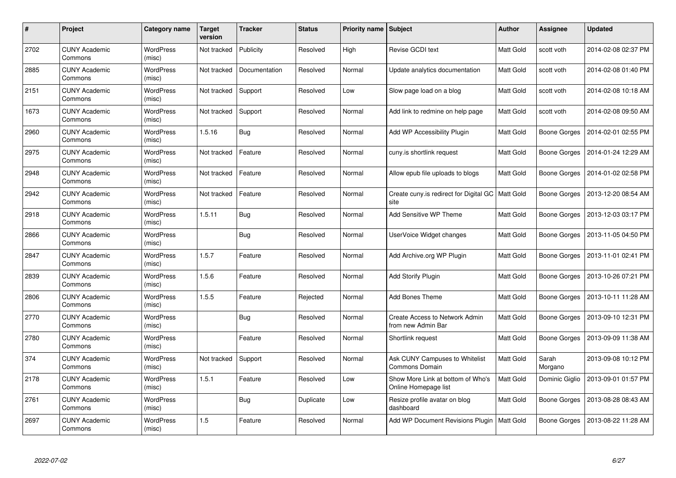| #    | Project                         | Category name              | <b>Target</b><br>version | <b>Tracker</b> | <b>Status</b> | <b>Priority name   Subject</b> |                                                             | Author           | <b>Assignee</b>     | <b>Updated</b>      |
|------|---------------------------------|----------------------------|--------------------------|----------------|---------------|--------------------------------|-------------------------------------------------------------|------------------|---------------------|---------------------|
| 2702 | <b>CUNY Academic</b><br>Commons | <b>WordPress</b><br>(misc) | Not tracked              | Publicity      | Resolved      | High                           | Revise GCDI text                                            | Matt Gold        | scott voth          | 2014-02-08 02:37 PM |
| 2885 | <b>CUNY Academic</b><br>Commons | <b>WordPress</b><br>(misc) | Not tracked              | Documentation  | Resolved      | Normal                         | Update analytics documentation                              | Matt Gold        | scott voth          | 2014-02-08 01:40 PM |
| 2151 | <b>CUNY Academic</b><br>Commons | <b>WordPress</b><br>(misc) | Not tracked              | Support        | Resolved      | Low                            | Slow page load on a blog                                    | Matt Gold        | scott voth          | 2014-02-08 10:18 AM |
| 1673 | <b>CUNY Academic</b><br>Commons | <b>WordPress</b><br>(misc) | Not tracked              | Support        | Resolved      | Normal                         | Add link to redmine on help page                            | Matt Gold        | scott voth          | 2014-02-08 09:50 AM |
| 2960 | <b>CUNY Academic</b><br>Commons | <b>WordPress</b><br>(misc) | 1.5.16                   | Bug            | Resolved      | Normal                         | Add WP Accessibility Plugin                                 | Matt Gold        | <b>Boone Gorges</b> | 2014-02-01 02:55 PM |
| 2975 | <b>CUNY Academic</b><br>Commons | <b>WordPress</b><br>(misc) | Not tracked              | Feature        | Resolved      | Normal                         | cuny.is shortlink request                                   | Matt Gold        | Boone Gorges        | 2014-01-24 12:29 AM |
| 2948 | <b>CUNY Academic</b><br>Commons | <b>WordPress</b><br>(misc) | Not tracked              | Feature        | Resolved      | Normal                         | Allow epub file uploads to blogs                            | Matt Gold        | Boone Gorges        | 2014-01-02 02:58 PM |
| 2942 | <b>CUNY Academic</b><br>Commons | WordPress<br>(misc)        | Not tracked              | Feature        | Resolved      | Normal                         | Create cuny is redirect for Digital GC   Matt Gold<br>site  |                  | Boone Gorges        | 2013-12-20 08:54 AM |
| 2918 | <b>CUNY Academic</b><br>Commons | <b>WordPress</b><br>(misc) | 1.5.11                   | <b>Bug</b>     | Resolved      | Normal                         | Add Sensitive WP Theme                                      | Matt Gold        | Boone Gorges        | 2013-12-03 03:17 PM |
| 2866 | <b>CUNY Academic</b><br>Commons | <b>WordPress</b><br>(misc) |                          | Bug            | Resolved      | Normal                         | UserVoice Widget changes                                    | <b>Matt Gold</b> | Boone Gorges        | 2013-11-05 04:50 PM |
| 2847 | <b>CUNY Academic</b><br>Commons | <b>WordPress</b><br>(misc) | 1.5.7                    | Feature        | Resolved      | Normal                         | Add Archive.org WP Plugin                                   | Matt Gold        | <b>Boone Gorges</b> | 2013-11-01 02:41 PM |
| 2839 | <b>CUNY Academic</b><br>Commons | <b>WordPress</b><br>(misc) | 1.5.6                    | Feature        | Resolved      | Normal                         | <b>Add Storify Plugin</b>                                   | Matt Gold        | <b>Boone Gorges</b> | 2013-10-26 07:21 PM |
| 2806 | <b>CUNY Academic</b><br>Commons | <b>WordPress</b><br>(misc) | 1.5.5                    | Feature        | Rejected      | Normal                         | Add Bones Theme                                             | <b>Matt Gold</b> | Boone Gorges        | 2013-10-11 11:28 AM |
| 2770 | <b>CUNY Academic</b><br>Commons | <b>WordPress</b><br>(misc) |                          | <b>Bug</b>     | Resolved      | Normal                         | <b>Create Access to Network Admin</b><br>from new Admin Bar | Matt Gold        | Boone Gorges        | 2013-09-10 12:31 PM |
| 2780 | <b>CUNY Academic</b><br>Commons | <b>WordPress</b><br>(misc) |                          | Feature        | Resolved      | Normal                         | Shortlink request                                           | Matt Gold        | <b>Boone Gorges</b> | 2013-09-09 11:38 AM |
| 374  | <b>CUNY Academic</b><br>Commons | WordPress<br>(misc)        | Not tracked              | Support        | Resolved      | Normal                         | Ask CUNY Campuses to Whitelist<br>Commons Domain            | Matt Gold        | Sarah<br>Morgano    | 2013-09-08 10:12 PM |
| 2178 | <b>CUNY Academic</b><br>Commons | <b>WordPress</b><br>(misc) | 1.5.1                    | Feature        | Resolved      | Low                            | Show More Link at bottom of Who's<br>Online Homepage list   | Matt Gold        | Dominic Giglio      | 2013-09-01 01:57 PM |
| 2761 | <b>CUNY Academic</b><br>Commons | <b>WordPress</b><br>(misc) |                          | Bug            | Duplicate     | Low                            | Resize profile avatar on blog<br>dashboard                  | Matt Gold        | Boone Gorges        | 2013-08-28 08:43 AM |
| 2697 | <b>CUNY Academic</b><br>Commons | <b>WordPress</b><br>(misc) | 1.5                      | Feature        | Resolved      | Normal                         | Add WP Document Revisions Plugin                            | Matt Gold        | <b>Boone Gorges</b> | 2013-08-22 11:28 AM |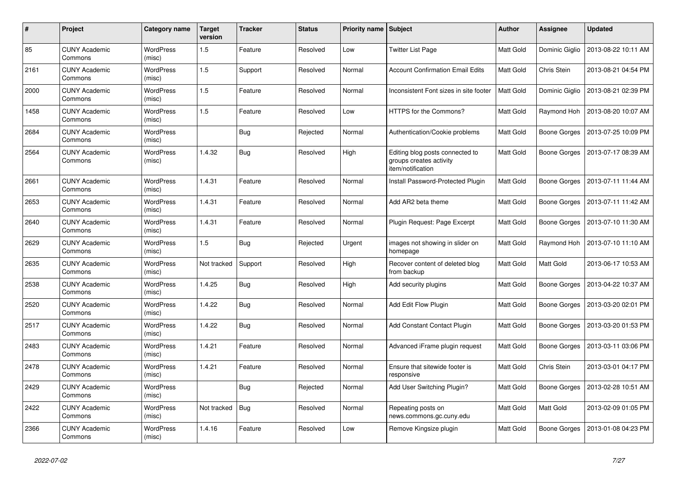| #    | <b>Project</b>                  | Category name              | <b>Target</b><br>version | <b>Tracker</b> | <b>Status</b> | <b>Priority name   Subject</b> |                                                                                 | Author    | <b>Assignee</b>     | <b>Updated</b>      |
|------|---------------------------------|----------------------------|--------------------------|----------------|---------------|--------------------------------|---------------------------------------------------------------------------------|-----------|---------------------|---------------------|
| 85   | <b>CUNY Academic</b><br>Commons | <b>WordPress</b><br>(misc) | 1.5                      | Feature        | Resolved      | Low                            | <b>Twitter List Page</b>                                                        | Matt Gold | Dominic Giglio      | 2013-08-22 10:11 AM |
| 2161 | <b>CUNY Academic</b><br>Commons | <b>WordPress</b><br>(misc) | 1.5                      | Support        | Resolved      | Normal                         | <b>Account Confirmation Email Edits</b>                                         | Matt Gold | Chris Stein         | 2013-08-21 04:54 PM |
| 2000 | <b>CUNY Academic</b><br>Commons | <b>WordPress</b><br>(misc) | 1.5                      | Feature        | Resolved      | Normal                         | Inconsistent Font sizes in site footer                                          | Matt Gold | Dominic Giglio      | 2013-08-21 02:39 PM |
| 1458 | <b>CUNY Academic</b><br>Commons | <b>WordPress</b><br>(misc) | 1.5                      | Feature        | Resolved      | Low                            | HTTPS for the Commons?                                                          | Matt Gold | Raymond Hoh         | 2013-08-20 10:07 AM |
| 2684 | <b>CUNY Academic</b><br>Commons | <b>WordPress</b><br>(misc) |                          | <b>Bug</b>     | Rejected      | Normal                         | Authentication/Cookie problems                                                  | Matt Gold | Boone Gorges        | 2013-07-25 10:09 PM |
| 2564 | <b>CUNY Academic</b><br>Commons | <b>WordPress</b><br>(misc) | 1.4.32                   | <b>Bug</b>     | Resolved      | High                           | Editing blog posts connected to<br>groups creates activity<br>item/notification | Matt Gold | <b>Boone Gorges</b> | 2013-07-17 08:39 AM |
| 2661 | <b>CUNY Academic</b><br>Commons | <b>WordPress</b><br>(misc) | 1.4.31                   | Feature        | Resolved      | Normal                         | Install Password-Protected Plugin                                               | Matt Gold | <b>Boone Gorges</b> | 2013-07-11 11:44 AM |
| 2653 | <b>CUNY Academic</b><br>Commons | <b>WordPress</b><br>(misc) | 1.4.31                   | Feature        | Resolved      | Normal                         | Add AR2 beta theme                                                              | Matt Gold | Boone Gorges        | 2013-07-11 11:42 AM |
| 2640 | <b>CUNY Academic</b><br>Commons | <b>WordPress</b><br>(misc) | 1.4.31                   | Feature        | Resolved      | Normal                         | Plugin Request: Page Excerpt                                                    | Matt Gold | Boone Gorges        | 2013-07-10 11:30 AM |
| 2629 | <b>CUNY Academic</b><br>Commons | <b>WordPress</b><br>(misc) | 1.5                      | <b>Bug</b>     | Rejected      | Urgent                         | images not showing in slider on<br>homepage                                     | Matt Gold | Raymond Hoh         | 2013-07-10 11:10 AM |
| 2635 | <b>CUNY Academic</b><br>Commons | <b>WordPress</b><br>(misc) | Not tracked              | Support        | Resolved      | High                           | Recover content of deleted blog<br>from backup                                  | Matt Gold | <b>Matt Gold</b>    | 2013-06-17 10:53 AM |
| 2538 | <b>CUNY Academic</b><br>Commons | <b>WordPress</b><br>(misc) | 1.4.25                   | <b>Bug</b>     | Resolved      | High                           | Add security plugins                                                            | Matt Gold | Boone Gorges        | 2013-04-22 10:37 AM |
| 2520 | <b>CUNY Academic</b><br>Commons | <b>WordPress</b><br>(misc) | 1.4.22                   | <b>Bug</b>     | Resolved      | Normal                         | Add Edit Flow Plugin                                                            | Matt Gold | Boone Gorges        | 2013-03-20 02:01 PM |
| 2517 | <b>CUNY Academic</b><br>Commons | WordPress<br>(misc)        | 1.4.22                   | <b>Bug</b>     | Resolved      | Normal                         | Add Constant Contact Plugin                                                     | Matt Gold | Boone Gorges        | 2013-03-20 01:53 PM |
| 2483 | <b>CUNY Academic</b><br>Commons | <b>WordPress</b><br>(misc) | 1.4.21                   | Feature        | Resolved      | Normal                         | Advanced iFrame plugin request                                                  | Matt Gold | Boone Gorges        | 2013-03-11 03:06 PM |
| 2478 | <b>CUNY Academic</b><br>Commons | WordPress<br>(misc)        | 1.4.21                   | Feature        | Resolved      | Normal                         | Ensure that sitewide footer is<br>responsive                                    | Matt Gold | Chris Stein         | 2013-03-01 04:17 PM |
| 2429 | <b>CUNY Academic</b><br>Commons | <b>WordPress</b><br>(misc) |                          | Bug            | Rejected      | Normal                         | Add User Switching Plugin?                                                      | Matt Gold | Boone Gorges        | 2013-02-28 10:51 AM |
| 2422 | <b>CUNY Academic</b><br>Commons | <b>WordPress</b><br>(misc) | Not tracked              | <b>Bug</b>     | Resolved      | Normal                         | Repeating posts on<br>news.commons.gc.cuny.edu                                  | Matt Gold | <b>Matt Gold</b>    | 2013-02-09 01:05 PM |
| 2366 | <b>CUNY Academic</b><br>Commons | WordPress<br>(misc)        | 1.4.16                   | Feature        | Resolved      | Low                            | Remove Kingsize plugin                                                          | Matt Gold | Boone Gorges        | 2013-01-08 04:23 PM |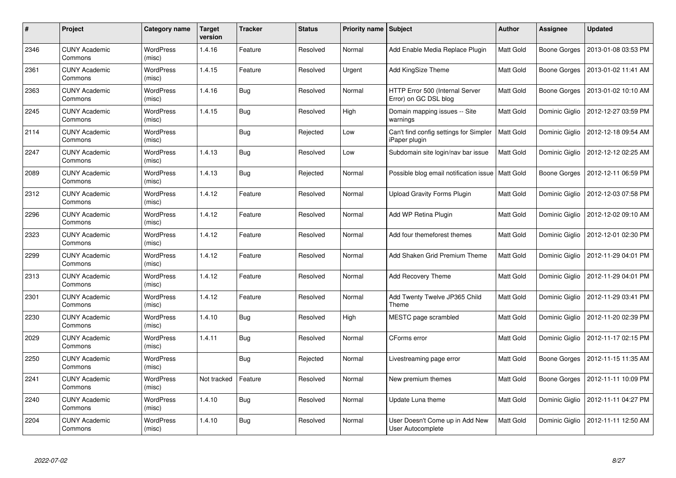| #    | Project                         | Category name              | <b>Target</b><br>version | <b>Tracker</b> | <b>Status</b> | <b>Priority name   Subject</b> |                                                          | <b>Author</b>    | <b>Assignee</b> | <b>Updated</b>      |
|------|---------------------------------|----------------------------|--------------------------|----------------|---------------|--------------------------------|----------------------------------------------------------|------------------|-----------------|---------------------|
| 2346 | <b>CUNY Academic</b><br>Commons | <b>WordPress</b><br>(misc) | 1.4.16                   | Feature        | Resolved      | Normal                         | Add Enable Media Replace Plugin                          | Matt Gold        | Boone Gorges    | 2013-01-08 03:53 PM |
| 2361 | <b>CUNY Academic</b><br>Commons | <b>WordPress</b><br>(misc) | 1.4.15                   | Feature        | Resolved      | Urgent                         | Add KingSize Theme                                       | Matt Gold        | Boone Gorges    | 2013-01-02 11:41 AM |
| 2363 | <b>CUNY Academic</b><br>Commons | <b>WordPress</b><br>(misc) | 1.4.16                   | <b>Bug</b>     | Resolved      | Normal                         | HTTP Error 500 (Internal Server<br>Error) on GC DSL blog | Matt Gold        | Boone Gorges    | 2013-01-02 10:10 AM |
| 2245 | <b>CUNY Academic</b><br>Commons | <b>WordPress</b><br>(misc) | 1.4.15                   | Bug            | Resolved      | High                           | Domain mapping issues -- Site<br>warnings                | Matt Gold        | Dominic Giglio  | 2012-12-27 03:59 PM |
| 2114 | <b>CUNY Academic</b><br>Commons | <b>WordPress</b><br>(misc) |                          | <b>Bug</b>     | Rejected      | Low                            | Can't find config settings for Simpler<br>iPaper plugin  | <b>Matt Gold</b> | Dominic Giglio  | 2012-12-18 09:54 AM |
| 2247 | <b>CUNY Academic</b><br>Commons | <b>WordPress</b><br>(misc) | 1.4.13                   | <b>Bug</b>     | Resolved      | Low                            | Subdomain site login/nav bar issue                       | Matt Gold        | Dominic Giglio  | 2012-12-12 02:25 AM |
| 2089 | <b>CUNY Academic</b><br>Commons | <b>WordPress</b><br>(misc) | 1.4.13                   | Bug            | Rejected      | Normal                         | Possible blog email notification issue                   | <b>Matt Gold</b> | Boone Gorges    | 2012-12-11 06:59 PM |
| 2312 | <b>CUNY Academic</b><br>Commons | WordPress<br>(misc)        | 1.4.12                   | Feature        | Resolved      | Normal                         | <b>Upload Gravity Forms Plugin</b>                       | Matt Gold        | Dominic Giglio  | 2012-12-03 07:58 PM |
| 2296 | <b>CUNY Academic</b><br>Commons | <b>WordPress</b><br>(misc) | 1.4.12                   | Feature        | Resolved      | Normal                         | Add WP Retina Plugin                                     | Matt Gold        | Dominic Giglio  | 2012-12-02 09:10 AM |
| 2323 | <b>CUNY Academic</b><br>Commons | <b>WordPress</b><br>(misc) | 1.4.12                   | Feature        | Resolved      | Normal                         | Add four themeforest themes                              | Matt Gold        | Dominic Giglio  | 2012-12-01 02:30 PM |
| 2299 | <b>CUNY Academic</b><br>Commons | <b>WordPress</b><br>(misc) | 1.4.12                   | Feature        | Resolved      | Normal                         | Add Shaken Grid Premium Theme                            | Matt Gold        | Dominic Giglio  | 2012-11-29 04:01 PM |
| 2313 | <b>CUNY Academic</b><br>Commons | <b>WordPress</b><br>(misc) | 1.4.12                   | Feature        | Resolved      | Normal                         | <b>Add Recovery Theme</b>                                | Matt Gold        | Dominic Giglio  | 2012-11-29 04:01 PM |
| 2301 | <b>CUNY Academic</b><br>Commons | <b>WordPress</b><br>(misc) | 1.4.12                   | Feature        | Resolved      | Normal                         | Add Twenty Twelve JP365 Child<br>Theme                   | Matt Gold        | Dominic Giglio  | 2012-11-29 03:41 PM |
| 2230 | <b>CUNY Academic</b><br>Commons | <b>WordPress</b><br>(misc) | 1.4.10                   | <b>Bug</b>     | Resolved      | High                           | MESTC page scrambled                                     | Matt Gold        | Dominic Giglio  | 2012-11-20 02:39 PM |
| 2029 | <b>CUNY Academic</b><br>Commons | WordPress<br>(misc)        | 1.4.11                   | <b>Bug</b>     | Resolved      | Normal                         | CForms error                                             | Matt Gold        | Dominic Giglio  | 2012-11-17 02:15 PM |
| 2250 | <b>CUNY Academic</b><br>Commons | WordPress<br>(misc)        |                          | <b>Bug</b>     | Rejected      | Normal                         | Livestreaming page error                                 | Matt Gold        | Boone Gorges    | 2012-11-15 11:35 AM |
| 2241 | <b>CUNY Academic</b><br>Commons | <b>WordPress</b><br>(misc) | Not tracked              | Feature        | Resolved      | Normal                         | New premium themes                                       | Matt Gold        | Boone Gorges    | 2012-11-11 10:09 PM |
| 2240 | <b>CUNY Academic</b><br>Commons | <b>WordPress</b><br>(misc) | 1.4.10                   | <b>Bug</b>     | Resolved      | Normal                         | Update Luna theme                                        | Matt Gold        | Dominic Giglio  | 2012-11-11 04:27 PM |
| 2204 | CUNY Academic<br>Commons        | WordPress<br>(misc)        | 1.4.10                   | <b>Bug</b>     | Resolved      | Normal                         | User Doesn't Come up in Add New<br>User Autocomplete     | Matt Gold        | Dominic Giglio  | 2012-11-11 12:50 AM |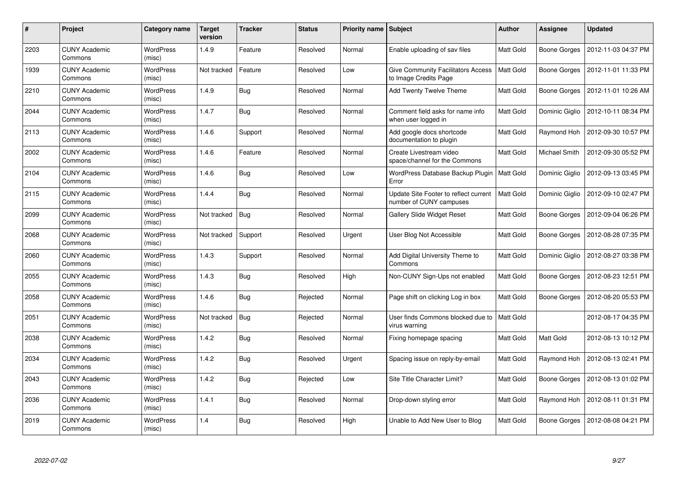| #    | Project                         | Category name              | <b>Target</b><br>version | <b>Tracker</b> | <b>Status</b> | <b>Priority name   Subject</b> |                                                                    | <b>Author</b>    | <b>Assignee</b> | <b>Updated</b>      |
|------|---------------------------------|----------------------------|--------------------------|----------------|---------------|--------------------------------|--------------------------------------------------------------------|------------------|-----------------|---------------------|
| 2203 | <b>CUNY Academic</b><br>Commons | <b>WordPress</b><br>(misc) | 1.4.9                    | Feature        | Resolved      | Normal                         | Enable uploading of sav files                                      | Matt Gold        | Boone Gorges    | 2012-11-03 04:37 PM |
| 1939 | <b>CUNY Academic</b><br>Commons | <b>WordPress</b><br>(misc) | Not tracked              | Feature        | Resolved      | Low                            | <b>Give Community Facilitators Access</b><br>to Image Credits Page | Matt Gold        | Boone Gorges    | 2012-11-01 11:33 PM |
| 2210 | <b>CUNY Academic</b><br>Commons | <b>WordPress</b><br>(misc) | 1.4.9                    | <b>Bug</b>     | Resolved      | Normal                         | Add Twenty Twelve Theme                                            | Matt Gold        | Boone Gorges    | 2012-11-01 10:26 AM |
| 2044 | <b>CUNY Academic</b><br>Commons | <b>WordPress</b><br>(misc) | 1.4.7                    | Bug            | Resolved      | Normal                         | Comment field asks for name info<br>when user logged in            | Matt Gold        | Dominic Giglio  | 2012-10-11 08:34 PM |
| 2113 | <b>CUNY Academic</b><br>Commons | <b>WordPress</b><br>(misc) | 1.4.6                    | Support        | Resolved      | Normal                         | Add google docs shortcode<br>documentation to plugin               | Matt Gold        | Raymond Hoh     | 2012-09-30 10:57 PM |
| 2002 | <b>CUNY Academic</b><br>Commons | <b>WordPress</b><br>(misc) | 1.4.6                    | Feature        | Resolved      | Normal                         | Create Livestream video<br>space/channel for the Commons           | Matt Gold        | Michael Smith   | 2012-09-30 05:52 PM |
| 2104 | <b>CUNY Academic</b><br>Commons | <b>WordPress</b><br>(misc) | 1.4.6                    | Bug            | Resolved      | Low                            | WordPress Database Backup Plugin<br>Error                          | Matt Gold        | Dominic Giglio  | 2012-09-13 03:45 PM |
| 2115 | <b>CUNY Academic</b><br>Commons | WordPress<br>(misc)        | 1.4.4                    | <b>Bug</b>     | Resolved      | Normal                         | Update Site Footer to reflect current<br>number of CUNY campuses   | Matt Gold        | Dominic Giglio  | 2012-09-10 02:47 PM |
| 2099 | <b>CUNY Academic</b><br>Commons | <b>WordPress</b><br>(misc) | Not tracked              | Bug            | Resolved      | Normal                         | <b>Gallery Slide Widget Reset</b>                                  | Matt Gold        | Boone Gorges    | 2012-09-04 06:26 PM |
| 2068 | <b>CUNY Academic</b><br>Commons | <b>WordPress</b><br>(misc) | Not tracked              | Support        | Resolved      | Urgent                         | User Blog Not Accessible                                           | Matt Gold        | Boone Gorges    | 2012-08-28 07:35 PM |
| 2060 | <b>CUNY Academic</b><br>Commons | <b>WordPress</b><br>(misc) | 1.4.3                    | Support        | Resolved      | Normal                         | Add Digital University Theme to<br>Commons                         | Matt Gold        | Dominic Giglio  | 2012-08-27 03:38 PM |
| 2055 | <b>CUNY Academic</b><br>Commons | <b>WordPress</b><br>(misc) | 1.4.3                    | <b>Bug</b>     | Resolved      | High                           | Non-CUNY Sign-Ups not enabled                                      | Matt Gold        | Boone Gorges    | 2012-08-23 12:51 PM |
| 2058 | <b>CUNY Academic</b><br>Commons | <b>WordPress</b><br>(misc) | 1.4.6                    | Bug            | Rejected      | Normal                         | Page shift on clicking Log in box                                  | Matt Gold        | Boone Gorges    | 2012-08-20 05:53 PM |
| 2051 | <b>CUNY Academic</b><br>Commons | <b>WordPress</b><br>(misc) | Not tracked              | Bug            | Rejected      | Normal                         | User finds Commons blocked due to<br>virus warning                 | <b>Matt Gold</b> |                 | 2012-08-17 04:35 PM |
| 2038 | <b>CUNY Academic</b><br>Commons | WordPress<br>(misc)        | 1.4.2                    | <b>Bug</b>     | Resolved      | Normal                         | Fixing homepage spacing                                            | Matt Gold        | Matt Gold       | 2012-08-13 10:12 PM |
| 2034 | <b>CUNY Academic</b><br>Commons | <b>WordPress</b><br>(misc) | 1.4.2                    | <b>Bug</b>     | Resolved      | Urgent                         | Spacing issue on reply-by-email                                    | Matt Gold        | Raymond Hoh     | 2012-08-13 02:41 PM |
| 2043 | <b>CUNY Academic</b><br>Commons | <b>WordPress</b><br>(misc) | 1.4.2                    | <b>Bug</b>     | Rejected      | Low                            | Site Title Character Limit?                                        | Matt Gold        | Boone Gorges    | 2012-08-13 01:02 PM |
| 2036 | <b>CUNY Academic</b><br>Commons | <b>WordPress</b><br>(misc) | 1.4.1                    | Bug            | Resolved      | Normal                         | Drop-down styling error                                            | Matt Gold        | Raymond Hoh     | 2012-08-11 01:31 PM |
| 2019 | <b>CUNY Academic</b><br>Commons | <b>WordPress</b><br>(misc) | 1.4                      | Bug            | Resolved      | High                           | Unable to Add New User to Blog                                     | Matt Gold        | Boone Gorges    | 2012-08-08 04:21 PM |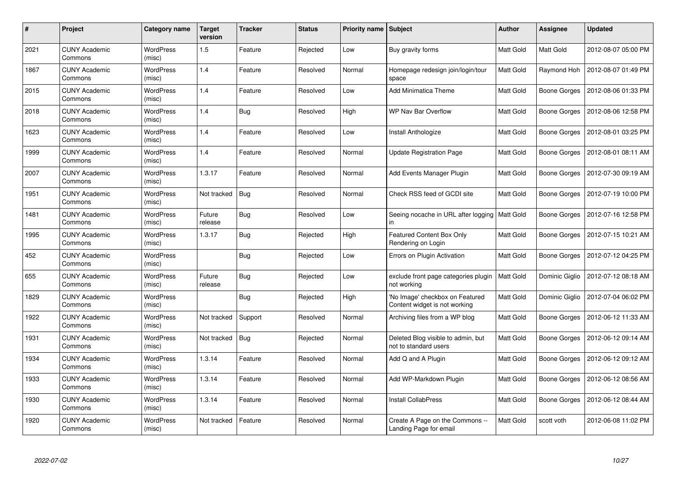| $\#$ | Project                         | Category name              | <b>Target</b><br>version | <b>Tracker</b> | <b>Status</b> | <b>Priority name   Subject</b> |                                                                  | Author           | <b>Assignee</b>     | <b>Updated</b>      |
|------|---------------------------------|----------------------------|--------------------------|----------------|---------------|--------------------------------|------------------------------------------------------------------|------------------|---------------------|---------------------|
| 2021 | <b>CUNY Academic</b><br>Commons | <b>WordPress</b><br>(misc) | 1.5                      | Feature        | Rejected      | Low                            | Buy gravity forms                                                | Matt Gold        | Matt Gold           | 2012-08-07 05:00 PM |
| 1867 | <b>CUNY Academic</b><br>Commons | <b>WordPress</b><br>(misc) | 1.4                      | Feature        | Resolved      | Normal                         | Homepage redesign join/login/tour<br>space                       | Matt Gold        | Raymond Hoh         | 2012-08-07 01:49 PM |
| 2015 | <b>CUNY Academic</b><br>Commons | WordPress<br>(misc)        | 1.4                      | Feature        | Resolved      | Low                            | <b>Add Minimatica Theme</b>                                      | Matt Gold        | Boone Gorges        | 2012-08-06 01:33 PM |
| 2018 | <b>CUNY Academic</b><br>Commons | <b>WordPress</b><br>(misc) | 1.4                      | <b>Bug</b>     | Resolved      | High                           | WP Nav Bar Overflow                                              | Matt Gold        | <b>Boone Gorges</b> | 2012-08-06 12:58 PM |
| 1623 | <b>CUNY Academic</b><br>Commons | <b>WordPress</b><br>(misc) | 1.4                      | Feature        | Resolved      | Low                            | Install Anthologize                                              | Matt Gold        | Boone Gorges        | 2012-08-01 03:25 PM |
| 1999 | <b>CUNY Academic</b><br>Commons | WordPress<br>(misc)        | 1.4                      | Feature        | Resolved      | Normal                         | <b>Update Registration Page</b>                                  | Matt Gold        | Boone Gorges        | 2012-08-01 08:11 AM |
| 2007 | <b>CUNY Academic</b><br>Commons | <b>WordPress</b><br>(misc) | 1.3.17                   | Feature        | Resolved      | Normal                         | Add Events Manager Plugin                                        | Matt Gold        | Boone Gorges        | 2012-07-30 09:19 AM |
| 1951 | <b>CUNY Academic</b><br>Commons | WordPress<br>(misc)        | Not tracked              | Bug            | Resolved      | Normal                         | Check RSS feed of GCDI site                                      | Matt Gold        | Boone Gorges        | 2012-07-19 10:00 PM |
| 1481 | <b>CUNY Academic</b><br>Commons | <b>WordPress</b><br>(misc) | Future<br>release        | Bug            | Resolved      | Low                            | Seeing nocache in URL after logging<br>in                        | <b>Matt Gold</b> | Boone Gorges        | 2012-07-16 12:58 PM |
| 1995 | <b>CUNY Academic</b><br>Commons | WordPress<br>(misc)        | 1.3.17                   | <b>Bug</b>     | Rejected      | High                           | Featured Content Box Only<br>Rendering on Login                  | Matt Gold        | Boone Gorges        | 2012-07-15 10:21 AM |
| 452  | <b>CUNY Academic</b><br>Commons | <b>WordPress</b><br>(misc) |                          | Bug            | Rejected      | Low                            | Errors on Plugin Activation                                      | Matt Gold        | Boone Gorges        | 2012-07-12 04:25 PM |
| 655  | <b>CUNY Academic</b><br>Commons | <b>WordPress</b><br>(misc) | Future<br>release        | <b>Bug</b>     | Rejected      | Low                            | exclude front page categories plugin<br>not working              | Matt Gold        | Dominic Giglio      | 2012-07-12 08:18 AM |
| 1829 | <b>CUNY Academic</b><br>Commons | <b>WordPress</b><br>(misc) |                          | <b>Bug</b>     | Rejected      | High                           | 'No Image' checkbox on Featured<br>Content widget is not working | Matt Gold        | Dominic Giglio      | 2012-07-04 06:02 PM |
| 1922 | <b>CUNY Academic</b><br>Commons | WordPress<br>(misc)        | Not tracked              | Support        | Resolved      | Normal                         | Archiving files from a WP blog                                   | Matt Gold        | Boone Gorges        | 2012-06-12 11:33 AM |
| 1931 | <b>CUNY Academic</b><br>Commons | WordPress<br>(misc)        | Not tracked              | <b>Bug</b>     | Rejected      | Normal                         | Deleted Blog visible to admin, but<br>not to standard users      | Matt Gold        | Boone Gorges        | 2012-06-12 09:14 AM |
| 1934 | <b>CUNY Academic</b><br>Commons | WordPress<br>(misc)        | 1.3.14                   | Feature        | Resolved      | Normal                         | Add Q and A Plugin                                               | Matt Gold        | Boone Gorges        | 2012-06-12 09:12 AM |
| 1933 | <b>CUNY Academic</b><br>Commons | WordPress<br>(misc)        | 1.3.14                   | Feature        | Resolved      | Normal                         | Add WP-Markdown Plugin                                           | Matt Gold        | Boone Gorges        | 2012-06-12 08:56 AM |
| 1930 | <b>CUNY Academic</b><br>Commons | WordPress<br>(misc)        | 1.3.14                   | Feature        | Resolved      | Normal                         | Install CollabPress                                              | Matt Gold        | Boone Gorges        | 2012-06-12 08:44 AM |
| 1920 | <b>CUNY Academic</b><br>Commons | WordPress<br>(misc)        | Not tracked              | Feature        | Resolved      | Normal                         | Create A Page on the Commons --<br>Landing Page for email        | Matt Gold        | scott voth          | 2012-06-08 11:02 PM |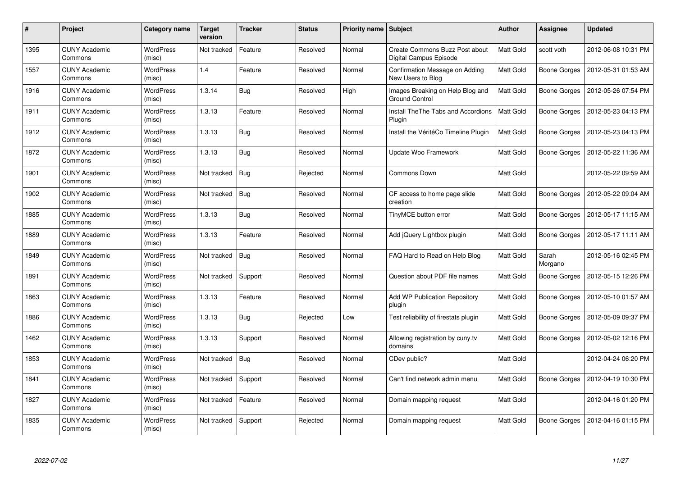| #    | Project                         | Category name              | <b>Target</b><br>version | <b>Tracker</b> | <b>Status</b> | <b>Priority name   Subject</b> |                                                           | Author           | <b>Assignee</b>     | <b>Updated</b>      |
|------|---------------------------------|----------------------------|--------------------------|----------------|---------------|--------------------------------|-----------------------------------------------------------|------------------|---------------------|---------------------|
| 1395 | <b>CUNY Academic</b><br>Commons | <b>WordPress</b><br>(misc) | Not tracked              | Feature        | Resolved      | Normal                         | Create Commons Buzz Post about<br>Digital Campus Episode  | <b>Matt Gold</b> | scott voth          | 2012-06-08 10:31 PM |
| 1557 | <b>CUNY Academic</b><br>Commons | <b>WordPress</b><br>(misc) | 1.4                      | Feature        | Resolved      | Normal                         | Confirmation Message on Adding<br>New Users to Blog       | Matt Gold        | Boone Gorges        | 2012-05-31 01:53 AM |
| 1916 | <b>CUNY Academic</b><br>Commons | <b>WordPress</b><br>(misc) | 1.3.14                   | <b>Bug</b>     | Resolved      | High                           | Images Breaking on Help Blog and<br><b>Ground Control</b> | Matt Gold        | Boone Gorges        | 2012-05-26 07:54 PM |
| 1911 | <b>CUNY Academic</b><br>Commons | <b>WordPress</b><br>(misc) | 1.3.13                   | Feature        | Resolved      | Normal                         | <b>Install TheThe Tabs and Accordions</b><br>Plugin       | Matt Gold        | <b>Boone Gorges</b> | 2012-05-23 04:13 PM |
| 1912 | <b>CUNY Academic</b><br>Commons | <b>WordPress</b><br>(misc) | 1.3.13                   | Bug            | Resolved      | Normal                         | Install the VéritéCo Timeline Plugin                      | Matt Gold        | Boone Gorges        | 2012-05-23 04:13 PM |
| 1872 | <b>CUNY Academic</b><br>Commons | WordPress<br>(misc)        | 1.3.13                   | <b>Bug</b>     | Resolved      | Normal                         | Update Woo Framework                                      | Matt Gold        | <b>Boone Gorges</b> | 2012-05-22 11:36 AM |
| 1901 | <b>CUNY Academic</b><br>Commons | <b>WordPress</b><br>(misc) | Not tracked              | Bug            | Rejected      | Normal                         | Commons Down                                              | <b>Matt Gold</b> |                     | 2012-05-22 09:59 AM |
| 1902 | <b>CUNY Academic</b><br>Commons | WordPress<br>(misc)        | Not tracked              | <b>Bug</b>     | Resolved      | Normal                         | CF access to home page slide<br>creation                  | Matt Gold        | Boone Gorges        | 2012-05-22 09:04 AM |
| 1885 | <b>CUNY Academic</b><br>Commons | <b>WordPress</b><br>(misc) | 1.3.13                   | <b>Bug</b>     | Resolved      | Normal                         | TinyMCE button error                                      | Matt Gold        | Boone Gorges        | 2012-05-17 11:15 AM |
| 1889 | <b>CUNY Academic</b><br>Commons | <b>WordPress</b><br>(misc) | 1.3.13                   | Feature        | Resolved      | Normal                         | Add jQuery Lightbox plugin                                | Matt Gold        | <b>Boone Gorges</b> | 2012-05-17 11:11 AM |
| 1849 | <b>CUNY Academic</b><br>Commons | <b>WordPress</b><br>(misc) | Not tracked              | Bug            | Resolved      | Normal                         | FAQ Hard to Read on Help Blog                             | Matt Gold        | Sarah<br>Morgano    | 2012-05-16 02:45 PM |
| 1891 | <b>CUNY Academic</b><br>Commons | <b>WordPress</b><br>(misc) | Not tracked              | Support        | Resolved      | Normal                         | Question about PDF file names                             | Matt Gold        | <b>Boone Gorges</b> | 2012-05-15 12:26 PM |
| 1863 | <b>CUNY Academic</b><br>Commons | <b>WordPress</b><br>(misc) | 1.3.13                   | Feature        | Resolved      | Normal                         | <b>Add WP Publication Repository</b><br>plugin            | Matt Gold        | Boone Gorges        | 2012-05-10 01:57 AM |
| 1886 | <b>CUNY Academic</b><br>Commons | WordPress<br>(misc)        | 1.3.13                   | <b>Bug</b>     | Rejected      | Low                            | Test reliability of firestats plugin                      | Matt Gold        | Boone Gorges        | 2012-05-09 09:37 PM |
| 1462 | <b>CUNY Academic</b><br>Commons | WordPress<br>(misc)        | 1.3.13                   | Support        | Resolved      | Normal                         | Allowing registration by cuny tv<br>domains               | Matt Gold        | Boone Gorges        | 2012-05-02 12:16 PM |
| 1853 | <b>CUNY Academic</b><br>Commons | WordPress<br>(misc)        | Not tracked              | <b>Bug</b>     | Resolved      | Normal                         | CDev public?                                              | Matt Gold        |                     | 2012-04-24 06:20 PM |
| 1841 | <b>CUNY Academic</b><br>Commons | WordPress<br>(misc)        | Not tracked              | Support        | Resolved      | Normal                         | Can't find network admin menu                             | Matt Gold        | Boone Gorges        | 2012-04-19 10:30 PM |
| 1827 | <b>CUNY Academic</b><br>Commons | WordPress<br>(misc)        | Not tracked              | Feature        | Resolved      | Normal                         | Domain mapping request                                    | Matt Gold        |                     | 2012-04-16 01:20 PM |
| 1835 | CUNY Academic<br>Commons        | <b>WordPress</b><br>(misc) | Not tracked              | Support        | Rejected      | Normal                         | Domain mapping request                                    | Matt Gold        | Boone Gorges        | 2012-04-16 01:15 PM |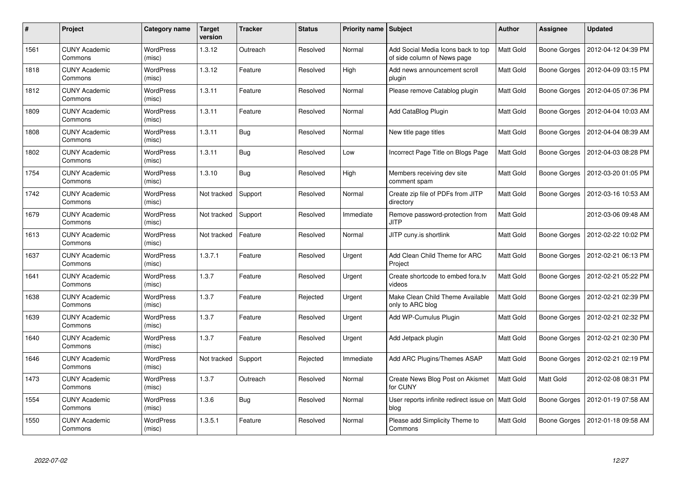| #    | Project                         | Category name              | <b>Target</b><br>version | <b>Tracker</b> | <b>Status</b> | <b>Priority name   Subject</b> |                                                                   | Author           | <b>Assignee</b>     | <b>Updated</b>      |
|------|---------------------------------|----------------------------|--------------------------|----------------|---------------|--------------------------------|-------------------------------------------------------------------|------------------|---------------------|---------------------|
| 1561 | <b>CUNY Academic</b><br>Commons | <b>WordPress</b><br>(misc) | 1.3.12                   | Outreach       | Resolved      | Normal                         | Add Social Media Icons back to top<br>of side column of News page | Matt Gold        | Boone Gorges        | 2012-04-12 04:39 PM |
| 1818 | <b>CUNY Academic</b><br>Commons | <b>WordPress</b><br>(misc) | 1.3.12                   | Feature        | Resolved      | High                           | Add news announcement scroll<br>plugin                            | Matt Gold        | Boone Gorges        | 2012-04-09 03:15 PM |
| 1812 | <b>CUNY Academic</b><br>Commons | <b>WordPress</b><br>(misc) | 1.3.11                   | Feature        | Resolved      | Normal                         | Please remove Catablog plugin                                     | Matt Gold        | Boone Gorges        | 2012-04-05 07:36 PM |
| 1809 | <b>CUNY Academic</b><br>Commons | <b>WordPress</b><br>(misc) | 1.3.11                   | Feature        | Resolved      | Normal                         | Add CataBlog Plugin                                               | Matt Gold        | <b>Boone Gorges</b> | 2012-04-04 10:03 AM |
| 1808 | <b>CUNY Academic</b><br>Commons | <b>WordPress</b><br>(misc) | 1.3.11                   | Bug            | Resolved      | Normal                         | New title page titles                                             | <b>Matt Gold</b> | Boone Gorges        | 2012-04-04 08:39 AM |
| 1802 | <b>CUNY Academic</b><br>Commons | <b>WordPress</b><br>(misc) | 1.3.11                   | <b>Bug</b>     | Resolved      | Low                            | Incorrect Page Title on Blogs Page                                | Matt Gold        | <b>Boone Gorges</b> | 2012-04-03 08:28 PM |
| 1754 | <b>CUNY Academic</b><br>Commons | <b>WordPress</b><br>(misc) | 1.3.10                   | Bug            | Resolved      | High                           | Members receiving dev site<br>comment spam                        | Matt Gold        | Boone Gorges        | 2012-03-20 01:05 PM |
| 1742 | <b>CUNY Academic</b><br>Commons | <b>WordPress</b><br>(misc) | Not tracked              | Support        | Resolved      | Normal                         | Create zip file of PDFs from JITP<br>directory                    | Matt Gold        | Boone Gorges        | 2012-03-16 10:53 AM |
| 1679 | <b>CUNY Academic</b><br>Commons | <b>WordPress</b><br>(misc) | Not tracked              | Support        | Resolved      | Immediate                      | Remove password-protection from<br><b>JITP</b>                    | Matt Gold        |                     | 2012-03-06 09:48 AM |
| 1613 | <b>CUNY Academic</b><br>Commons | <b>WordPress</b><br>(misc) | Not tracked              | Feature        | Resolved      | Normal                         | JITP cuny.is shortlink                                            | Matt Gold        | <b>Boone Gorges</b> | 2012-02-22 10:02 PM |
| 1637 | <b>CUNY Academic</b><br>Commons | WordPress<br>(misc)        | 1.3.7.1                  | Feature        | Resolved      | Urgent                         | Add Clean Child Theme for ARC<br>Project                          | Matt Gold        | Boone Gorges        | 2012-02-21 06:13 PM |
| 1641 | <b>CUNY Academic</b><br>Commons | WordPress<br>(misc)        | 1.3.7                    | Feature        | Resolved      | Urgent                         | Create shortcode to embed fora.tv<br>videos                       | Matt Gold        | Boone Gorges        | 2012-02-21 05:22 PM |
| 1638 | <b>CUNY Academic</b><br>Commons | <b>WordPress</b><br>(misc) | 1.3.7                    | Feature        | Rejected      | Urgent                         | Make Clean Child Theme Available<br>only to ARC blog              | Matt Gold        | Boone Gorges        | 2012-02-21 02:39 PM |
| 1639 | <b>CUNY Academic</b><br>Commons | <b>WordPress</b><br>(misc) | 1.3.7                    | Feature        | Resolved      | Urgent                         | Add WP-Cumulus Plugin                                             | Matt Gold        | Boone Gorges        | 2012-02-21 02:32 PM |
| 1640 | <b>CUNY Academic</b><br>Commons | <b>WordPress</b><br>(misc) | 1.3.7                    | Feature        | Resolved      | Urgent                         | Add Jetpack plugin                                                | Matt Gold        | Boone Gorges        | 2012-02-21 02:30 PM |
| 1646 | <b>CUNY Academic</b><br>Commons | <b>WordPress</b><br>(misc) | Not tracked              | Support        | Rejected      | Immediate                      | Add ARC Plugins/Themes ASAP                                       | Matt Gold        | Boone Gorges        | 2012-02-21 02:19 PM |
| 1473 | <b>CUNY Academic</b><br>Commons | <b>WordPress</b><br>(misc) | 1.3.7                    | Outreach       | Resolved      | Normal                         | Create News Blog Post on Akismet<br>for CUNY                      | Matt Gold        | Matt Gold           | 2012-02-08 08:31 PM |
| 1554 | <b>CUNY Academic</b><br>Commons | <b>WordPress</b><br>(misc) | 1.3.6                    | <b>Bug</b>     | Resolved      | Normal                         | User reports infinite redirect issue on<br>blog                   | <b>Matt Gold</b> | Boone Gorges        | 2012-01-19 07:58 AM |
| 1550 | CUNY Academic<br>Commons        | <b>WordPress</b><br>(misc) | 1.3.5.1                  | Feature        | Resolved      | Normal                         | Please add Simplicity Theme to<br>Commons                         | Matt Gold        | <b>Boone Gorges</b> | 2012-01-18 09:58 AM |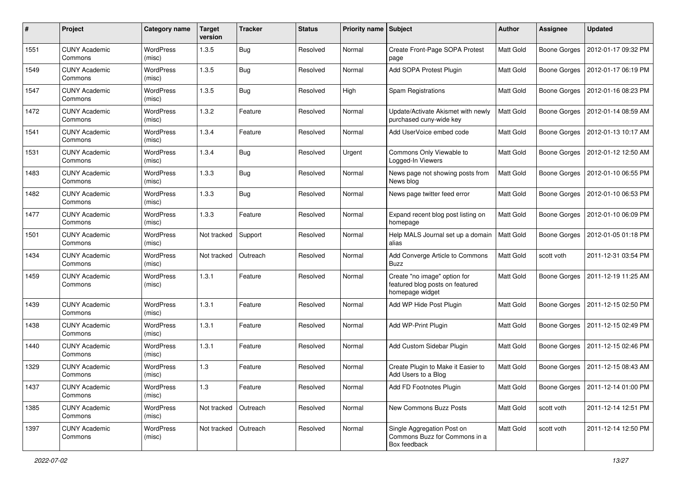| #    | Project                         | Category name              | <b>Target</b><br>version | <b>Tracker</b> | <b>Status</b> | Priority name Subject |                                                                                    | Author    | Assignee            | <b>Updated</b>                     |
|------|---------------------------------|----------------------------|--------------------------|----------------|---------------|-----------------------|------------------------------------------------------------------------------------|-----------|---------------------|------------------------------------|
| 1551 | <b>CUNY Academic</b><br>Commons | WordPress<br>(misc)        | 1.3.5                    | <b>Bug</b>     | Resolved      | Normal                | Create Front-Page SOPA Protest<br>page                                             | Matt Gold | <b>Boone Gorges</b> | 2012-01-17 09:32 PM                |
| 1549 | <b>CUNY Academic</b><br>Commons | <b>WordPress</b><br>(misc) | 1.3.5                    | <b>Bug</b>     | Resolved      | Normal                | Add SOPA Protest Plugin                                                            | Matt Gold | Boone Gorges        | 2012-01-17 06:19 PM                |
| 1547 | <b>CUNY Academic</b><br>Commons | <b>WordPress</b><br>(misc) | 1.3.5                    | <b>Bug</b>     | Resolved      | High                  | Spam Registrations                                                                 | Matt Gold | <b>Boone Gorges</b> | 2012-01-16 08:23 PM                |
| 1472 | <b>CUNY Academic</b><br>Commons | <b>WordPress</b><br>(misc) | 1.3.2                    | Feature        | Resolved      | Normal                | Update/Activate Akismet with newly<br>purchased cuny-wide key                      | Matt Gold | <b>Boone Gorges</b> | 2012-01-14 08:59 AM                |
| 1541 | <b>CUNY Academic</b><br>Commons | WordPress<br>(misc)        | 1.3.4                    | Feature        | Resolved      | Normal                | Add UserVoice embed code                                                           | Matt Gold | Boone Gorges        | 2012-01-13 10:17 AM                |
| 1531 | <b>CUNY Academic</b><br>Commons | WordPress<br>(misc)        | 1.3.4                    | <b>Bug</b>     | Resolved      | Urgent                | Commons Only Viewable to<br>Logged-In Viewers                                      | Matt Gold | Boone Gorges        | 2012-01-12 12:50 AM                |
| 1483 | <b>CUNY Academic</b><br>Commons | WordPress<br>(misc)        | 1.3.3                    | <b>Bug</b>     | Resolved      | Normal                | News page not showing posts from<br>News blog                                      | Matt Gold | Boone Gorges        | 2012-01-10 06:55 PM                |
| 1482 | <b>CUNY Academic</b><br>Commons | WordPress<br>(misc)        | 1.3.3                    | <b>Bug</b>     | Resolved      | Normal                | News page twitter feed error                                                       | Matt Gold | Boone Gorges        | 2012-01-10 06:53 PM                |
| 1477 | <b>CUNY Academic</b><br>Commons | WordPress<br>(misc)        | 1.3.3                    | Feature        | Resolved      | Normal                | Expand recent blog post listing on<br>homepage                                     | Matt Gold | Boone Gorges        | 2012-01-10 06:09 PM                |
| 1501 | <b>CUNY Academic</b><br>Commons | <b>WordPress</b><br>(misc) | Not tracked              | Support        | Resolved      | Normal                | Help MALS Journal set up a domain<br>alias                                         | Matt Gold | <b>Boone Gorges</b> | 2012-01-05 01:18 PM                |
| 1434 | <b>CUNY Academic</b><br>Commons | WordPress<br>(misc)        | Not tracked              | Outreach       | Resolved      | Normal                | Add Converge Article to Commons<br>Buzz                                            | Matt Gold | scott voth          | 2011-12-31 03:54 PM                |
| 1459 | <b>CUNY Academic</b><br>Commons | WordPress<br>(misc)        | 1.3.1                    | Feature        | Resolved      | Normal                | Create "no image" option for<br>featured blog posts on featured<br>homepage widget | Matt Gold | Boone Gorges        | 2011-12-19 11:25 AM                |
| 1439 | <b>CUNY Academic</b><br>Commons | WordPress<br>(misc)        | 1.3.1                    | Feature        | Resolved      | Normal                | Add WP Hide Post Plugin                                                            | Matt Gold | Boone Gorges        | 2011-12-15 02:50 PM                |
| 1438 | <b>CUNY Academic</b><br>Commons | WordPress<br>(misc)        | 1.3.1                    | Feature        | Resolved      | Normal                | Add WP-Print Plugin                                                                | Matt Gold | Boone Gorges        | 2011-12-15 02:49 PM                |
| 1440 | <b>CUNY Academic</b><br>Commons | <b>WordPress</b><br>(misc) | 1.3.1                    | Feature        | Resolved      | Normal                | Add Custom Sidebar Plugin                                                          | Matt Gold | Boone Gorges        | 2011-12-15 02:46 PM                |
| 1329 | <b>CUNY Academic</b><br>Commons | <b>WordPress</b><br>(misc) | 1.3                      | Feature        | Resolved      | Normal                | Create Plugin to Make it Easier to<br>Add Users to a Blog                          | Matt Gold | <b>Boone Gorges</b> | 2011-12-15 08:43 AM                |
| 1437 | <b>CUNY Academic</b><br>Commons | WordPress<br>(misc)        | $1.3$                    | Feature        | Resolved      | Normal                | Add FD Footnotes Plugin                                                            | Matt Gold |                     | Boone Gorges   2011-12-14 01:00 PM |
| 1385 | <b>CUNY Academic</b><br>Commons | WordPress<br>(misc)        | Not tracked              | Outreach       | Resolved      | Normal                | New Commons Buzz Posts                                                             | Matt Gold | scott voth          | 2011-12-14 12:51 PM                |
| 1397 | <b>CUNY Academic</b><br>Commons | WordPress<br>(misc)        | Not tracked              | Outreach       | Resolved      | Normal                | Single Aggregation Post on<br>Commons Buzz for Commons in a<br>Box feedback        | Matt Gold | scott voth          | 2011-12-14 12:50 PM                |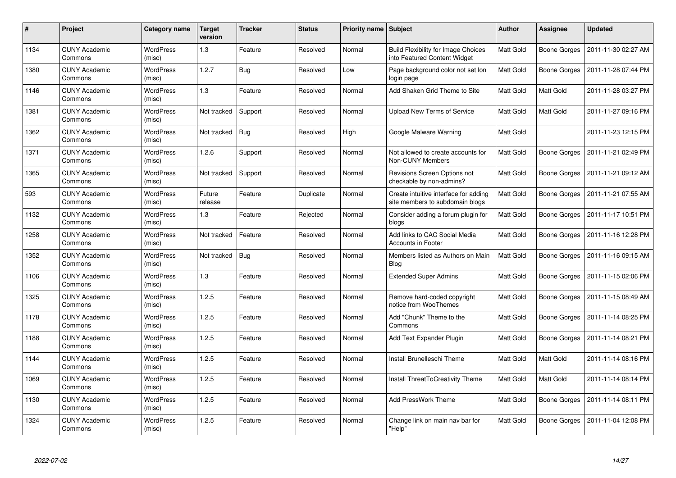| #    | <b>Project</b>                  | Category name              | <b>Target</b><br>version | <b>Tracker</b> | <b>Status</b> | <b>Priority name</b> | <b>Subject</b>                                                             | <b>Author</b>    | Assignee            | <b>Updated</b>      |
|------|---------------------------------|----------------------------|--------------------------|----------------|---------------|----------------------|----------------------------------------------------------------------------|------------------|---------------------|---------------------|
| 1134 | <b>CUNY Academic</b><br>Commons | WordPress<br>(misc)        | 1.3                      | Feature        | Resolved      | Normal               | <b>Build Flexibility for Image Choices</b><br>into Featured Content Widget | Matt Gold        | Boone Gorges        | 2011-11-30 02:27 AM |
| 1380 | <b>CUNY Academic</b><br>Commons | <b>WordPress</b><br>(misc) | 1.2.7                    | <b>Bug</b>     | Resolved      | Low                  | Page background color not set lon<br>login page                            | <b>Matt Gold</b> | Boone Gorges        | 2011-11-28 07:44 PM |
| 1146 | <b>CUNY Academic</b><br>Commons | <b>WordPress</b><br>(misc) | 1.3                      | Feature        | Resolved      | Normal               | Add Shaken Grid Theme to Site                                              | Matt Gold        | <b>Matt Gold</b>    | 2011-11-28 03:27 PM |
| 1381 | <b>CUNY Academic</b><br>Commons | <b>WordPress</b><br>(misc) | Not tracked              | Support        | Resolved      | Normal               | Upload New Terms of Service                                                | <b>Matt Gold</b> | <b>Matt Gold</b>    | 2011-11-27 09:16 PM |
| 1362 | <b>CUNY Academic</b><br>Commons | <b>WordPress</b><br>(misc) | Not tracked              | <b>Bug</b>     | Resolved      | High                 | Google Malware Warning                                                     | <b>Matt Gold</b> |                     | 2011-11-23 12:15 PM |
| 1371 | <b>CUNY Academic</b><br>Commons | WordPress<br>(misc)        | 1.2.6                    | Support        | Resolved      | Normal               | Not allowed to create accounts for<br>Non-CUNY Members                     | Matt Gold        | Boone Gorges        | 2011-11-21 02:49 PM |
| 1365 | <b>CUNY Academic</b><br>Commons | <b>WordPress</b><br>(misc) | Not tracked              | Support        | Resolved      | Normal               | Revisions Screen Options not<br>checkable by non-admins?                   | <b>Matt Gold</b> | Boone Gorges        | 2011-11-21 09:12 AM |
| 593  | <b>CUNY Academic</b><br>Commons | WordPress<br>(misc)        | Future<br>release        | Feature        | Duplicate     | Normal               | Create intuitive interface for adding<br>site members to subdomain blogs   | Matt Gold        | <b>Boone Gorges</b> | 2011-11-21 07:55 AM |
| 1132 | <b>CUNY Academic</b><br>Commons | <b>WordPress</b><br>(misc) | 1.3                      | Feature        | Rejected      | Normal               | Consider adding a forum plugin for<br>blogs                                | Matt Gold        | Boone Gorges        | 2011-11-17 10:51 PM |
| 1258 | <b>CUNY Academic</b><br>Commons | WordPress<br>(misc)        | Not tracked              | Feature        | Resolved      | Normal               | Add links to CAC Social Media<br><b>Accounts in Footer</b>                 | Matt Gold        | Boone Gorges        | 2011-11-16 12:28 PM |
| 1352 | <b>CUNY Academic</b><br>Commons | <b>WordPress</b><br>(misc) | Not tracked              | <b>Bug</b>     | Resolved      | Normal               | Members listed as Authors on Main<br><b>Blog</b>                           | Matt Gold        | Boone Gorges        | 2011-11-16 09:15 AM |
| 1106 | <b>CUNY Academic</b><br>Commons | <b>WordPress</b><br>(misc) | 1.3                      | Feature        | Resolved      | Normal               | <b>Extended Super Admins</b>                                               | Matt Gold        | Boone Gorges        | 2011-11-15 02:06 PM |
| 1325 | <b>CUNY Academic</b><br>Commons | <b>WordPress</b><br>(misc) | 1.2.5                    | Feature        | Resolved      | Normal               | Remove hard-coded copyright<br>notice from WooThemes                       | <b>Matt Gold</b> | Boone Gorges        | 2011-11-15 08:49 AM |
| 1178 | <b>CUNY Academic</b><br>Commons | WordPress<br>(misc)        | 1.2.5                    | Feature        | Resolved      | Normal               | Add "Chunk" Theme to the<br>Commons                                        | <b>Matt Gold</b> | Boone Gorges        | 2011-11-14 08:25 PM |
| 1188 | <b>CUNY Academic</b><br>Commons | <b>WordPress</b><br>(misc) | 1.2.5                    | Feature        | Resolved      | Normal               | Add Text Expander Plugin                                                   | <b>Matt Gold</b> | Boone Gorges        | 2011-11-14 08:21 PM |
| 1144 | <b>CUNY Academic</b><br>Commons | WordPress<br>(misc)        | 1.2.5                    | Feature        | Resolved      | Normal               | Install Brunelleschi Theme                                                 | Matt Gold        | Matt Gold           | 2011-11-14 08:16 PM |
| 1069 | <b>CUNY Academic</b><br>Commons | WordPress<br>(misc)        | 1.2.5                    | Feature        | Resolved      | Normal               | Install ThreatToCreativity Theme                                           | Matt Gold        | <b>Matt Gold</b>    | 2011-11-14 08:14 PM |
| 1130 | <b>CUNY Academic</b><br>Commons | WordPress<br>(misc)        | 1.2.5                    | Feature        | Resolved      | Normal               | <b>Add PressWork Theme</b>                                                 | <b>Matt Gold</b> | Boone Gorges        | 2011-11-14 08:11 PM |
| 1324 | <b>CUNY Academic</b><br>Commons | <b>WordPress</b><br>(misc) | 1.2.5                    | Feature        | Resolved      | Normal               | Change link on main nav bar for<br>"Help"                                  | <b>Matt Gold</b> | Boone Gorges        | 2011-11-04 12:08 PM |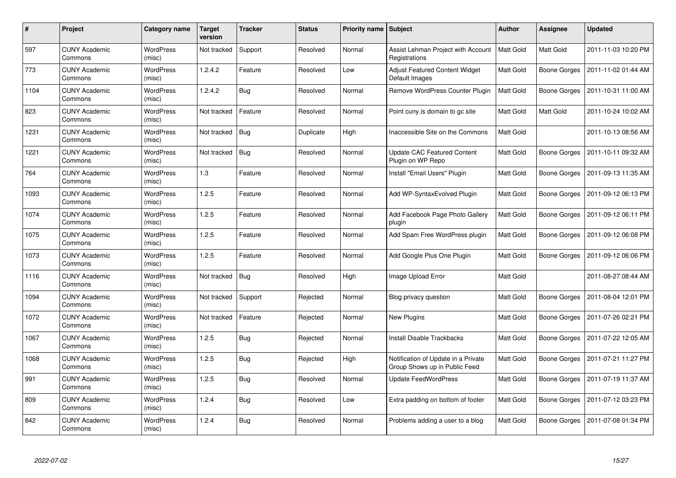| #    | Project                         | Category name              | <b>Target</b><br>version | <b>Tracker</b> | <b>Status</b> | Priority name Subject |                                                                      | Author    | <b>Assignee</b>     | <b>Updated</b>      |
|------|---------------------------------|----------------------------|--------------------------|----------------|---------------|-----------------------|----------------------------------------------------------------------|-----------|---------------------|---------------------|
| 597  | <b>CUNY Academic</b><br>Commons | <b>WordPress</b><br>(misc) | Not tracked              | Support        | Resolved      | Normal                | Assist Lehman Project with Account<br>Registrations                  | Matt Gold | Matt Gold           | 2011-11-03 10:20 PM |
| 773  | <b>CUNY Academic</b><br>Commons | <b>WordPress</b><br>(misc) | 1.2.4.2                  | Feature        | Resolved      | Low                   | Adjust Featured Content Widget<br>Default Images                     | Matt Gold | Boone Gorges        | 2011-11-02 01:44 AM |
| 1104 | <b>CUNY Academic</b><br>Commons | <b>WordPress</b><br>(misc) | 1.2.4.2                  | Bug            | Resolved      | Normal                | Remove WordPress Counter Plugin                                      | Matt Gold | <b>Boone Gorges</b> | 2011-10-31 11:00 AM |
| 823  | <b>CUNY Academic</b><br>Commons | WordPress<br>(misc)        | Not tracked              | Feature        | Resolved      | Normal                | Point cuny is domain to gc site                                      | Matt Gold | Matt Gold           | 2011-10-24 10:02 AM |
| 1231 | <b>CUNY Academic</b><br>Commons | <b>WordPress</b><br>(misc) | Not tracked              | <b>Bug</b>     | Duplicate     | High                  | Inaccessible Site on the Commons                                     | Matt Gold |                     | 2011-10-13 08:56 AM |
| 1221 | <b>CUNY Academic</b><br>Commons | <b>WordPress</b><br>(misc) | Not tracked              | <b>Bug</b>     | Resolved      | Normal                | <b>Update CAC Featured Content</b><br>Plugin on WP Repo              | Matt Gold | Boone Gorges        | 2011-10-11 09:32 AM |
| 764  | <b>CUNY Academic</b><br>Commons | <b>WordPress</b><br>(misc) | 1.3                      | Feature        | Resolved      | Normal                | Install "Email Users" Plugin                                         | Matt Gold | <b>Boone Gorges</b> | 2011-09-13 11:35 AM |
| 1093 | <b>CUNY Academic</b><br>Commons | <b>WordPress</b><br>(misc) | 1.2.5                    | Feature        | Resolved      | Normal                | Add WP-SyntaxEvolved Plugin                                          | Matt Gold | <b>Boone Gorges</b> | 2011-09-12 06:13 PM |
| 1074 | <b>CUNY Academic</b><br>Commons | <b>WordPress</b><br>(misc) | 1.2.5                    | Feature        | Resolved      | Normal                | Add Facebook Page Photo Gallery<br>plugin                            | Matt Gold | Boone Gorges        | 2011-09-12 06:11 PM |
| 1075 | <b>CUNY Academic</b><br>Commons | <b>WordPress</b><br>(misc) | 1.2.5                    | Feature        | Resolved      | Normal                | Add Spam Free WordPress plugin                                       | Matt Gold | Boone Gorges        | 2011-09-12 06:08 PM |
| 1073 | <b>CUNY Academic</b><br>Commons | <b>WordPress</b><br>(misc) | 1.2.5                    | Feature        | Resolved      | Normal                | Add Google Plus One Plugin                                           | Matt Gold | Boone Gorges        | 2011-09-12 06:06 PM |
| 1116 | <b>CUNY Academic</b><br>Commons | <b>WordPress</b><br>(misc) | Not tracked              | Bug            | Resolved      | High                  | Image Upload Error                                                   | Matt Gold |                     | 2011-08-27 08:44 AM |
| 1094 | <b>CUNY Academic</b><br>Commons | <b>WordPress</b><br>(misc) | Not tracked              | Support        | Rejected      | Normal                | Blog privacy question                                                | Matt Gold | Boone Gorges        | 2011-08-04 12:01 PM |
| 1072 | <b>CUNY Academic</b><br>Commons | <b>WordPress</b><br>(misc) | Not tracked              | Feature        | Rejected      | Normal                | <b>New Plugins</b>                                                   | Matt Gold | Boone Gorges        | 2011-07-26 02:21 PM |
| 1067 | <b>CUNY Academic</b><br>Commons | WordPress<br>(misc)        | 1.2.5                    | Bug            | Rejected      | Normal                | <b>Install Disable Trackbacks</b>                                    | Matt Gold | Boone Gorges        | 2011-07-22 12:05 AM |
| 1068 | <b>CUNY Academic</b><br>Commons | WordPress<br>(misc)        | 1.2.5                    | <b>Bug</b>     | Rejected      | High                  | Notification of Update in a Private<br>Group Shows up in Public Feed | Matt Gold | Boone Gorges        | 2011-07-21 11:27 PM |
| 991  | <b>CUNY Academic</b><br>Commons | WordPress<br>(misc)        | 1.2.5                    | <b>Bug</b>     | Resolved      | Normal                | <b>Update FeedWordPress</b>                                          | Matt Gold | Boone Gorges        | 2011-07-19 11:37 AM |
| 809  | <b>CUNY Academic</b><br>Commons | WordPress<br>(misc)        | 1.2.4                    | <b>Bug</b>     | Resolved      | Low                   | Extra padding on bottom of footer                                    | Matt Gold | Boone Gorges        | 2011-07-12 03:23 PM |
| 842  | CUNY Academic<br>Commons        | WordPress<br>(misc)        | 1.2.4                    | Bug            | Resolved      | Normal                | Problems adding a user to a blog                                     | Matt Gold | Boone Gorges        | 2011-07-08 01:34 PM |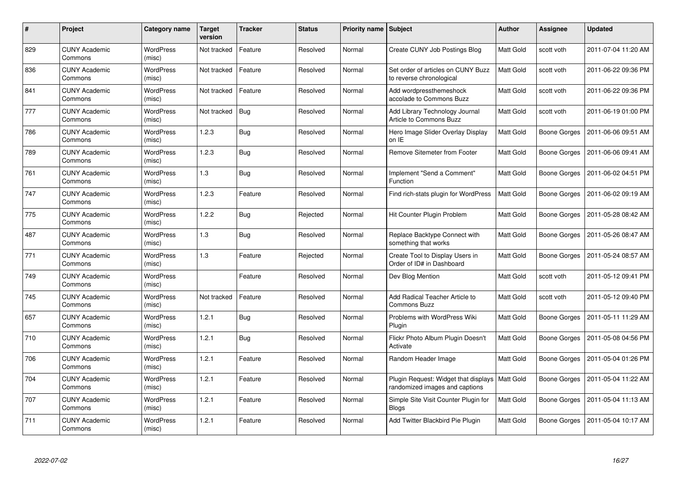| #   | Project                         | Category name              | <b>Target</b><br>version | <b>Tracker</b> | <b>Status</b> | <b>Priority name   Subject</b> |                                                                                    | <b>Author</b>    | Assignee     | <b>Updated</b>      |
|-----|---------------------------------|----------------------------|--------------------------|----------------|---------------|--------------------------------|------------------------------------------------------------------------------------|------------------|--------------|---------------------|
| 829 | <b>CUNY Academic</b><br>Commons | <b>WordPress</b><br>(misc) | Not tracked              | Feature        | Resolved      | Normal                         | Create CUNY Job Postings Blog                                                      | Matt Gold        | scott voth   | 2011-07-04 11:20 AM |
| 836 | <b>CUNY Academic</b><br>Commons | <b>WordPress</b><br>(misc) | Not tracked              | Feature        | Resolved      | Normal                         | Set order of articles on CUNY Buzz<br>to reverse chronological                     | <b>Matt Gold</b> | scott voth   | 2011-06-22 09:36 PM |
| 841 | <b>CUNY Academic</b><br>Commons | WordPress<br>(misc)        | Not tracked              | Feature        | Resolved      | Normal                         | Add wordpressthemeshock<br>accolade to Commons Buzz                                | <b>Matt Gold</b> | scott voth   | 2011-06-22 09:36 PM |
| 777 | <b>CUNY Academic</b><br>Commons | <b>WordPress</b><br>(misc) | Not tracked              | <b>Bug</b>     | Resolved      | Normal                         | Add Library Technology Journal<br>Article to Commons Buzz                          | Matt Gold        | scott voth   | 2011-06-19 01:00 PM |
| 786 | <b>CUNY Academic</b><br>Commons | <b>WordPress</b><br>(misc) | 1.2.3                    | <b>Bug</b>     | Resolved      | Normal                         | Hero Image Slider Overlay Display<br>on IE                                         | Matt Gold        | Boone Gorges | 2011-06-06 09:51 AM |
| 789 | <b>CUNY Academic</b><br>Commons | <b>WordPress</b><br>(misc) | 1.2.3                    | Bug            | Resolved      | Normal                         | Remove Sitemeter from Footer                                                       | Matt Gold        | Boone Gorges | 2011-06-06 09:41 AM |
| 761 | <b>CUNY Academic</b><br>Commons | WordPress<br>(misc)        | 1.3                      | <b>Bug</b>     | Resolved      | Normal                         | Implement "Send a Comment"<br>Function                                             | Matt Gold        | Boone Gorges | 2011-06-02 04:51 PM |
| 747 | <b>CUNY Academic</b><br>Commons | WordPress<br>(misc)        | 1.2.3                    | Feature        | Resolved      | Normal                         | Find rich-stats plugin for WordPress                                               | <b>Matt Gold</b> | Boone Gorges | 2011-06-02 09:19 AM |
| 775 | <b>CUNY Academic</b><br>Commons | <b>WordPress</b><br>(misc) | 1.2.2                    | <b>Bug</b>     | Rejected      | Normal                         | Hit Counter Plugin Problem                                                         | <b>Matt Gold</b> | Boone Gorges | 2011-05-28 08:42 AM |
| 487 | <b>CUNY Academic</b><br>Commons | <b>WordPress</b><br>(misc) | 1.3                      | <b>Bug</b>     | Resolved      | Normal                         | Replace Backtype Connect with<br>something that works                              | Matt Gold        | Boone Gorges | 2011-05-26 08:47 AM |
| 771 | <b>CUNY Academic</b><br>Commons | <b>WordPress</b><br>(misc) | 1.3                      | Feature        | Rejected      | Normal                         | Create Tool to Display Users in<br>Order of ID# in Dashboard                       | Matt Gold        | Boone Gorges | 2011-05-24 08:57 AM |
| 749 | <b>CUNY Academic</b><br>Commons | <b>WordPress</b><br>(misc) |                          | Feature        | Resolved      | Normal                         | Dev Blog Mention                                                                   | <b>Matt Gold</b> | scott voth   | 2011-05-12 09:41 PM |
| 745 | <b>CUNY Academic</b><br>Commons | <b>WordPress</b><br>(misc) | Not tracked              | Feature        | Resolved      | Normal                         | Add Radical Teacher Article to<br><b>Commons Buzz</b>                              | <b>Matt Gold</b> | scott voth   | 2011-05-12 09:40 PM |
| 657 | <b>CUNY Academic</b><br>Commons | <b>WordPress</b><br>(misc) | 1.2.1                    | <b>Bug</b>     | Resolved      | Normal                         | Problems with WordPress Wiki<br>Plugin                                             | Matt Gold        | Boone Gorges | 2011-05-11 11:29 AM |
| 710 | <b>CUNY Academic</b><br>Commons | WordPress<br>(misc)        | 1.2.1                    | <b>Bug</b>     | Resolved      | Normal                         | Flickr Photo Album Plugin Doesn't<br>Activate                                      | Matt Gold        | Boone Gorges | 2011-05-08 04:56 PM |
| 706 | <b>CUNY Academic</b><br>Commons | <b>WordPress</b><br>(misc) | 1.2.1                    | Feature        | Resolved      | Normal                         | Random Header Image                                                                | Matt Gold        | Boone Gorges | 2011-05-04 01:26 PM |
| 704 | <b>CUNY Academic</b><br>Commons | <b>WordPress</b><br>(misc) | 1.2.1                    | Feature        | Resolved      | Normal                         | Plugin Request: Widget that displays   Matt Gold<br>randomized images and captions |                  | Boone Gorges | 2011-05-04 11:22 AM |
| 707 | <b>CUNY Academic</b><br>Commons | WordPress<br>(misc)        | 1.2.1                    | Feature        | Resolved      | Normal                         | Simple Site Visit Counter Plugin for<br><b>Blogs</b>                               | Matt Gold        | Boone Gorges | 2011-05-04 11:13 AM |
| 711 | <b>CUNY Academic</b><br>Commons | <b>WordPress</b><br>(misc) | 1.2.1                    | Feature        | Resolved      | Normal                         | Add Twitter Blackbird Pie Plugin                                                   | <b>Matt Gold</b> | Boone Gorges | 2011-05-04 10:17 AM |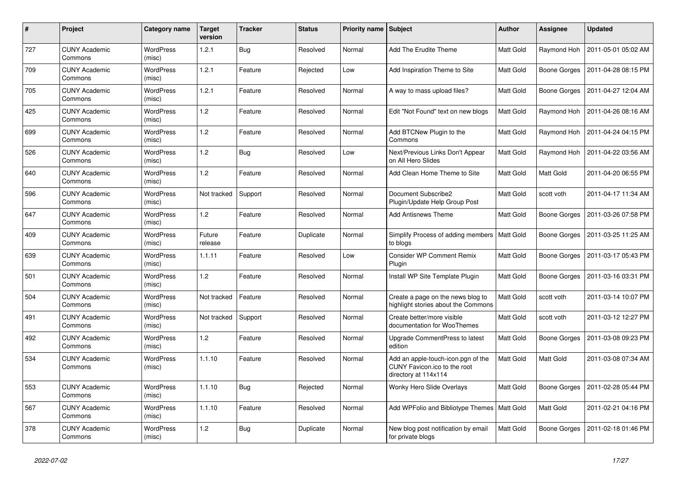| #   | Project                         | <b>Category name</b>       | <b>Target</b><br>version | <b>Tracker</b> | <b>Status</b> | Priority name   Subject |                                                                                            | <b>Author</b>    | <b>Assignee</b>     | <b>Updated</b>      |
|-----|---------------------------------|----------------------------|--------------------------|----------------|---------------|-------------------------|--------------------------------------------------------------------------------------------|------------------|---------------------|---------------------|
| 727 | <b>CUNY Academic</b><br>Commons | <b>WordPress</b><br>(misc) | 1.2.1                    | <b>Bug</b>     | Resolved      | Normal                  | Add The Erudite Theme                                                                      | Matt Gold        | Raymond Hoh         | 2011-05-01 05:02 AM |
| 709 | <b>CUNY Academic</b><br>Commons | <b>WordPress</b><br>(misc) | 1.2.1                    | Feature        | Rejected      | Low                     | Add Inspiration Theme to Site                                                              | Matt Gold        | Boone Gorges        | 2011-04-28 08:15 PM |
| 705 | <b>CUNY Academic</b><br>Commons | <b>WordPress</b><br>(misc) | 1.2.1                    | Feature        | Resolved      | Normal                  | A way to mass upload files?                                                                | Matt Gold        | <b>Boone Gorges</b> | 2011-04-27 12:04 AM |
| 425 | <b>CUNY Academic</b><br>Commons | <b>WordPress</b><br>(misc) | 1.2                      | Feature        | Resolved      | Normal                  | Edit "Not Found" text on new blogs                                                         | Matt Gold        | Raymond Hoh         | 2011-04-26 08:16 AM |
| 699 | <b>CUNY Academic</b><br>Commons | <b>WordPress</b><br>(misc) | 1.2                      | Feature        | Resolved      | Normal                  | Add BTCNew Plugin to the<br>Commons                                                        | Matt Gold        | Raymond Hoh         | 2011-04-24 04:15 PM |
| 526 | <b>CUNY Academic</b><br>Commons | <b>WordPress</b><br>(misc) | 1.2                      | <b>Bug</b>     | Resolved      | Low                     | Next/Previous Links Don't Appear<br>on All Hero Slides                                     | Matt Gold        | Raymond Hoh         | 2011-04-22 03:56 AM |
| 640 | <b>CUNY Academic</b><br>Commons | <b>WordPress</b><br>(misc) | 1.2                      | Feature        | Resolved      | Normal                  | Add Clean Home Theme to Site                                                               | Matt Gold        | Matt Gold           | 2011-04-20 06:55 PM |
| 596 | <b>CUNY Academic</b><br>Commons | <b>WordPress</b><br>(misc) | Not tracked              | Support        | Resolved      | Normal                  | Document Subscribe2<br>Plugin/Update Help Group Post                                       | Matt Gold        | scott voth          | 2011-04-17 11:34 AM |
| 647 | <b>CUNY Academic</b><br>Commons | <b>WordPress</b><br>(misc) | 1.2                      | Feature        | Resolved      | Normal                  | <b>Add Antisnews Theme</b>                                                                 | Matt Gold        | Boone Gorges        | 2011-03-26 07:58 PM |
| 409 | <b>CUNY Academic</b><br>Commons | <b>WordPress</b><br>(misc) | Future<br>release        | Feature        | Duplicate     | Normal                  | Simplify Process of adding members<br>to blogs                                             | <b>Matt Gold</b> | Boone Gorges        | 2011-03-25 11:25 AM |
| 639 | <b>CUNY Academic</b><br>Commons | <b>WordPress</b><br>(misc) | 1.1.11                   | Feature        | Resolved      | Low                     | <b>Consider WP Comment Remix</b><br>Plugin                                                 | Matt Gold        | Boone Gorges        | 2011-03-17 05:43 PM |
| 501 | <b>CUNY Academic</b><br>Commons | <b>WordPress</b><br>(misc) | 1.2                      | Feature        | Resolved      | Normal                  | Install WP Site Template Plugin                                                            | Matt Gold        | Boone Gorges        | 2011-03-16 03:31 PM |
| 504 | <b>CUNY Academic</b><br>Commons | WordPress<br>(misc)        | Not tracked              | Feature        | Resolved      | Normal                  | Create a page on the news blog to<br>highlight stories about the Commons                   | Matt Gold        | scott voth          | 2011-03-14 10:07 PM |
| 491 | <b>CUNY Academic</b><br>Commons | <b>WordPress</b><br>(misc) | Not tracked              | Support        | Resolved      | Normal                  | Create better/more visible<br>documentation for WooThemes                                  | Matt Gold        | scott voth          | 2011-03-12 12:27 PM |
| 492 | <b>CUNY Academic</b><br>Commons | <b>WordPress</b><br>(misc) | 1.2                      | Feature        | Resolved      | Normal                  | Upgrade CommentPress to latest<br>edition                                                  | Matt Gold        | Boone Gorges        | 2011-03-08 09:23 PM |
| 534 | <b>CUNY Academic</b><br>Commons | <b>WordPress</b><br>(misc) | 1.1.10                   | Feature        | Resolved      | Normal                  | Add an apple-touch-icon.pgn of the<br>CUNY Favicon.ico to the root<br>directory at 114x114 | Matt Gold        | Matt Gold           | 2011-03-08 07:34 AM |
| 553 | <b>CUNY Academic</b><br>Commons | <b>WordPress</b><br>(misc) | 1.1.10                   | Bug            | Rejected      | Normal                  | Wonky Hero Slide Overlays                                                                  | Matt Gold        | Boone Gorges        | 2011-02-28 05:44 PM |
| 567 | <b>CUNY Academic</b><br>Commons | <b>WordPress</b><br>(misc) | 1.1.10                   | Feature        | Resolved      | Normal                  | Add WPFolio and Bibliotype Themes                                                          | Matt Gold        | Matt Gold           | 2011-02-21 04:16 PM |
| 378 | <b>CUNY Academic</b><br>Commons | WordPress<br>(misc)        | 1.2                      | <b>Bug</b>     | Duplicate     | Normal                  | New blog post notification by email<br>for private blogs                                   | Matt Gold        | Boone Gorges        | 2011-02-18 01:46 PM |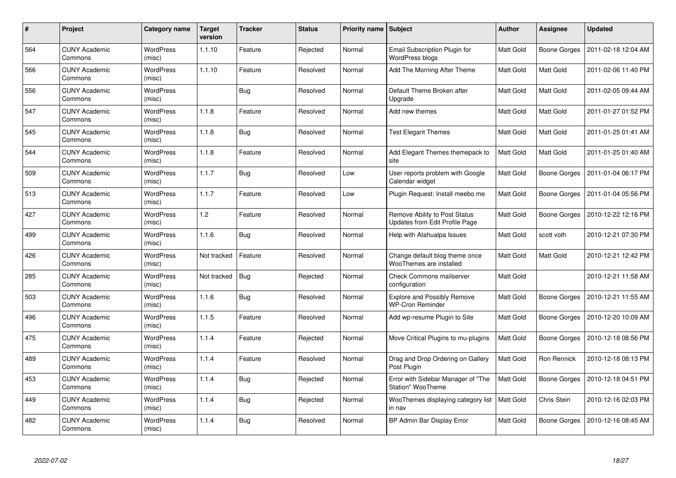| #   | Project                         | Category name              | <b>Target</b><br>version | <b>Tracker</b> | <b>Status</b> | <b>Priority name   Subject</b> |                                                                 | <b>Author</b> | <b>Assignee</b>  | <b>Updated</b>      |
|-----|---------------------------------|----------------------------|--------------------------|----------------|---------------|--------------------------------|-----------------------------------------------------------------|---------------|------------------|---------------------|
| 564 | <b>CUNY Academic</b><br>Commons | <b>WordPress</b><br>(misc) | 1.1.10                   | Feature        | Rejected      | Normal                         | Email Subscription Plugin for<br>WordPress blogs                | Matt Gold     | Boone Gorges     | 2011-02-18 12:04 AM |
| 566 | <b>CUNY Academic</b><br>Commons | WordPress<br>(misc)        | 1.1.10                   | Feature        | Resolved      | Normal                         | Add The Morning After Theme                                     | Matt Gold     | Matt Gold        | 2011-02-06 11:40 PM |
| 556 | <b>CUNY Academic</b><br>Commons | <b>WordPress</b><br>(misc) |                          | Bug            | Resolved      | Normal                         | Default Theme Broken after<br>Upgrade                           | Matt Gold     | <b>Matt Gold</b> | 2011-02-05 09:44 AM |
| 547 | <b>CUNY Academic</b><br>Commons | <b>WordPress</b><br>(misc) | 1.1.8                    | Feature        | Resolved      | Normal                         | Add new themes                                                  | Matt Gold     | Matt Gold        | 2011-01-27 01:52 PM |
| 545 | <b>CUNY Academic</b><br>Commons | <b>WordPress</b><br>(misc) | 1.1.8                    | Bug            | Resolved      | Normal                         | <b>Test Elegant Themes</b>                                      | Matt Gold     | <b>Matt Gold</b> | 2011-01-25 01:41 AM |
| 544 | <b>CUNY Academic</b><br>Commons | <b>WordPress</b><br>(misc) | 1.1.8                    | Feature        | Resolved      | Normal                         | Add Elegant Themes themepack to<br>site                         | Matt Gold     | Matt Gold        | 2011-01-25 01:40 AM |
| 509 | <b>CUNY Academic</b><br>Commons | <b>WordPress</b><br>(misc) | 1.1.7                    | <b>Bug</b>     | Resolved      | Low                            | User reports problem with Google<br>Calendar widget             | Matt Gold     | Boone Gorges     | 2011-01-04 06:17 PM |
| 513 | <b>CUNY Academic</b><br>Commons | WordPress<br>(misc)        | 1.1.7                    | Feature        | Resolved      | Low                            | Plugin Request: Install meebo me                                | Matt Gold     | Boone Gorges     | 2011-01-04 05:56 PM |
| 427 | <b>CUNY Academic</b><br>Commons | <b>WordPress</b><br>(misc) | 1.2                      | Feature        | Resolved      | Normal                         | Remove Ability to Post Status<br>Updates from Edit Profile Page | Matt Gold     | Boone Gorges     | 2010-12-22 12:16 PM |
| 499 | <b>CUNY Academic</b><br>Commons | <b>WordPress</b><br>(misc) | 1.1.6                    | Bug            | Resolved      | Normal                         | Help with Atahualpa Issues                                      | Matt Gold     | scott voth       | 2010-12-21 07:30 PM |
| 426 | <b>CUNY Academic</b><br>Commons | <b>WordPress</b><br>(misc) | Not tracked              | Feature        | Resolved      | Normal                         | Change default blog theme once<br>WooThemes are installed       | Matt Gold     | Matt Gold        | 2010-12-21 12:42 PM |
| 285 | <b>CUNY Academic</b><br>Commons | <b>WordPress</b><br>(misc) | Not tracked              | <b>Bug</b>     | Rejected      | Normal                         | Check Commons mailserver<br>configuration                       | Matt Gold     |                  | 2010-12-21 11:58 AM |
| 503 | <b>CUNY Academic</b><br>Commons | <b>WordPress</b><br>(misc) | 1.1.6                    | Bug            | Resolved      | Normal                         | <b>Explore and Possibly Remove</b><br><b>WP-Cron Reminder</b>   | Matt Gold     | Boone Gorges     | 2010-12-21 11:55 AM |
| 496 | <b>CUNY Academic</b><br>Commons | <b>WordPress</b><br>(misc) | 1.1.5                    | Feature        | Resolved      | Normal                         | Add wp-resume Plugin to Site                                    | Matt Gold     | Boone Gorges     | 2010-12-20 10:09 AM |
| 475 | <b>CUNY Academic</b><br>Commons | WordPress<br>(misc)        | 1.1.4                    | Feature        | Rejected      | Normal                         | Move Critical Plugins to mu-plugins                             | Matt Gold     | Boone Gorges     | 2010-12-18 08:56 PM |
| 489 | <b>CUNY Academic</b><br>Commons | <b>WordPress</b><br>(misc) | 1.1.4                    | Feature        | Resolved      | Normal                         | Drag and Drop Ordering on Gallery<br>Post Plugin                | Matt Gold     | Ron Rennick      | 2010-12-18 08:13 PM |
| 453 | <b>CUNY Academic</b><br>Commons | <b>WordPress</b><br>(misc) | 1.1.4                    | <b>Bug</b>     | Rejected      | Normal                         | Error with Sidebar Manager of "The<br><b>Station" WooTheme</b>  | Matt Gold     | Boone Gorges     | 2010-12-18 04:51 PM |
| 449 | <b>CUNY Academic</b><br>Commons | <b>WordPress</b><br>(misc) | 1.1.4                    | Bug            | Rejected      | Normal                         | WooThemes displaying category list<br>in nav                    | Matt Gold     | Chris Stein      | 2010-12-16 02:03 PM |
| 482 | <b>CUNY Academic</b><br>Commons | WordPress<br>(misc)        | 1.1.4                    | Bug            | Resolved      | Normal                         | BP Admin Bar Display Error                                      | Matt Gold     | Boone Gorges     | 2010-12-16 08:45 AM |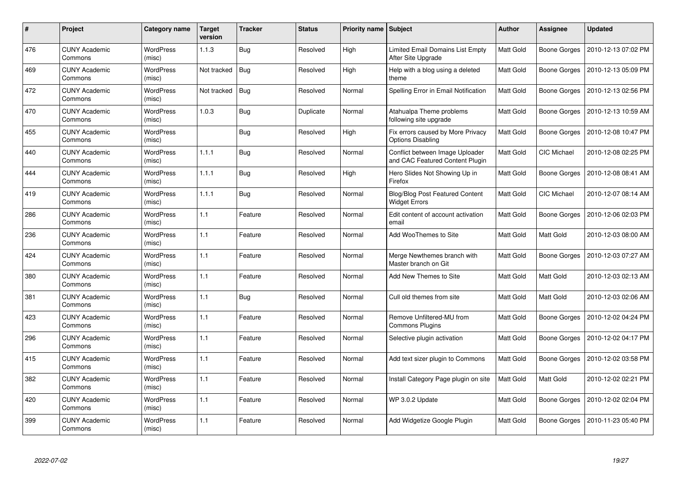| #   | Project                         | Category name              | <b>Target</b><br>version | <b>Tracker</b> | <b>Status</b> | Priority name Subject |                                                                    | <b>Author</b> | <b>Assignee</b>    | <b>Updated</b>      |
|-----|---------------------------------|----------------------------|--------------------------|----------------|---------------|-----------------------|--------------------------------------------------------------------|---------------|--------------------|---------------------|
| 476 | <b>CUNY Academic</b><br>Commons | <b>WordPress</b><br>(misc) | 1.1.3                    | <b>Bug</b>     | Resolved      | High                  | Limited Email Domains List Empty<br>After Site Upgrade             | Matt Gold     | Boone Gorges       | 2010-12-13 07:02 PM |
| 469 | <b>CUNY Academic</b><br>Commons | <b>WordPress</b><br>(misc) | Not tracked              | <b>Bug</b>     | Resolved      | High                  | Help with a blog using a deleted<br>theme                          | Matt Gold     | Boone Gorges       | 2010-12-13 05:09 PM |
| 472 | <b>CUNY Academic</b><br>Commons | <b>WordPress</b><br>(misc) | Not tracked              | Bug            | Resolved      | Normal                | Spelling Error in Email Notification                               | Matt Gold     | Boone Gorges       | 2010-12-13 02:56 PM |
| 470 | <b>CUNY Academic</b><br>Commons | WordPress<br>(misc)        | 1.0.3                    | <b>Bug</b>     | Duplicate     | Normal                | Atahualpa Theme problems<br>following site upgrade                 | Matt Gold     | Boone Gorges       | 2010-12-13 10:59 AM |
| 455 | <b>CUNY Academic</b><br>Commons | <b>WordPress</b><br>(misc) |                          | <b>Bug</b>     | Resolved      | High                  | Fix errors caused by More Privacy<br><b>Options Disabling</b>      | Matt Gold     | Boone Gorges       | 2010-12-08 10:47 PM |
| 440 | <b>CUNY Academic</b><br>Commons | <b>WordPress</b><br>(misc) | 1.1.1                    | <b>Bug</b>     | Resolved      | Normal                | Conflict between Image Uploader<br>and CAC Featured Content Plugin | Matt Gold     | CIC Michael        | 2010-12-08 02:25 PM |
| 444 | <b>CUNY Academic</b><br>Commons | <b>WordPress</b><br>(misc) | 1.1.1                    | <b>Bug</b>     | Resolved      | High                  | Hero Slides Not Showing Up in<br>Firefox                           | Matt Gold     | Boone Gorges       | 2010-12-08 08:41 AM |
| 419 | <b>CUNY Academic</b><br>Commons | <b>WordPress</b><br>(misc) | 1.1.1                    | <b>Bug</b>     | Resolved      | Normal                | <b>Blog/Blog Post Featured Content</b><br><b>Widget Errors</b>     | Matt Gold     | <b>CIC Michael</b> | 2010-12-07 08:14 AM |
| 286 | <b>CUNY Academic</b><br>Commons | <b>WordPress</b><br>(misc) | 1.1                      | Feature        | Resolved      | Normal                | Edit content of account activation<br>email                        | Matt Gold     | Boone Gorges       | 2010-12-06 02:03 PM |
| 236 | <b>CUNY Academic</b><br>Commons | <b>WordPress</b><br>(misc) | 1.1                      | Feature        | Resolved      | Normal                | Add WooThemes to Site                                              | Matt Gold     | Matt Gold          | 2010-12-03 08:00 AM |
| 424 | <b>CUNY Academic</b><br>Commons | <b>WordPress</b><br>(misc) | 1.1                      | Feature        | Resolved      | Normal                | Merge Newthemes branch with<br>Master branch on Git                | Matt Gold     | Boone Gorges       | 2010-12-03 07:27 AM |
| 380 | <b>CUNY Academic</b><br>Commons | <b>WordPress</b><br>(misc) | 1.1                      | Feature        | Resolved      | Normal                | Add New Themes to Site                                             | Matt Gold     | Matt Gold          | 2010-12-03 02:13 AM |
| 381 | <b>CUNY Academic</b><br>Commons | <b>WordPress</b><br>(misc) | 1.1                      | Bug            | Resolved      | Normal                | Cull old themes from site                                          | Matt Gold     | <b>Matt Gold</b>   | 2010-12-03 02:06 AM |
| 423 | <b>CUNY Academic</b><br>Commons | <b>WordPress</b><br>(misc) | 1.1                      | Feature        | Resolved      | Normal                | Remove Unfiltered-MU from<br><b>Commons Plugins</b>                | Matt Gold     | Boone Gorges       | 2010-12-02 04:24 PM |
| 296 | <b>CUNY Academic</b><br>Commons | <b>WordPress</b><br>(misc) | 1.1                      | Feature        | Resolved      | Normal                | Selective plugin activation                                        | Matt Gold     | Boone Gorges       | 2010-12-02 04:17 PM |
| 415 | <b>CUNY Academic</b><br>Commons | <b>WordPress</b><br>(misc) | 1.1                      | Feature        | Resolved      | Normal                | Add text sizer plugin to Commons                                   | Matt Gold     | Boone Gorges       | 2010-12-02 03:58 PM |
| 382 | <b>CUNY Academic</b><br>Commons | <b>WordPress</b><br>(misc) | 1.1                      | Feature        | Resolved      | Normal                | Install Category Page plugin on site                               | Matt Gold     | Matt Gold          | 2010-12-02 02:21 PM |
| 420 | <b>CUNY Academic</b><br>Commons | <b>WordPress</b><br>(misc) | 1.1                      | Feature        | Resolved      | Normal                | WP 3.0.2 Update                                                    | Matt Gold     | Boone Gorges       | 2010-12-02 02:04 PM |
| 399 | CUNY Academic<br>Commons        | <b>WordPress</b><br>(misc) | 1.1                      | Feature        | Resolved      | Normal                | Add Widgetize Google Plugin                                        | Matt Gold     | Boone Gorges       | 2010-11-23 05:40 PM |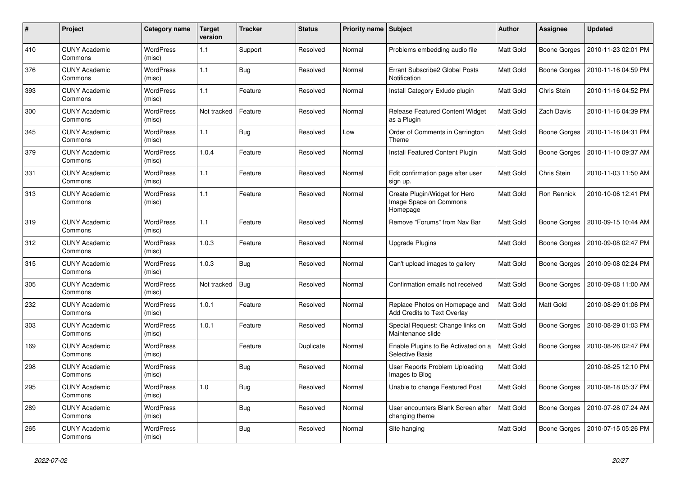| #   | Project                         | Category name              | <b>Target</b><br>version | <b>Tracker</b> | <b>Status</b> | Priority name Subject |                                                                      | <b>Author</b> | <b>Assignee</b>    | <b>Updated</b>      |
|-----|---------------------------------|----------------------------|--------------------------|----------------|---------------|-----------------------|----------------------------------------------------------------------|---------------|--------------------|---------------------|
| 410 | <b>CUNY Academic</b><br>Commons | <b>WordPress</b><br>(misc) | 1.1                      | Support        | Resolved      | Normal                | Problems embedding audio file                                        | Matt Gold     | Boone Gorges       | 2010-11-23 02:01 PM |
| 376 | <b>CUNY Academic</b><br>Commons | <b>WordPress</b><br>(misc) | 1.1                      | <b>Bug</b>     | Resolved      | Normal                | Errant Subscribe2 Global Posts<br>Notification                       | Matt Gold     | Boone Gorges       | 2010-11-16 04:59 PM |
| 393 | <b>CUNY Academic</b><br>Commons | <b>WordPress</b><br>(misc) | 1.1                      | Feature        | Resolved      | Normal                | Install Category Exlude plugin                                       | Matt Gold     | Chris Stein        | 2010-11-16 04:52 PM |
| 300 | <b>CUNY Academic</b><br>Commons | <b>WordPress</b><br>(misc) | Not tracked              | Feature        | Resolved      | Normal                | Release Featured Content Widget<br>as a Plugin                       | Matt Gold     | Zach Davis         | 2010-11-16 04:39 PM |
| 345 | <b>CUNY Academic</b><br>Commons | <b>WordPress</b><br>(misc) | 1.1                      | <b>Bug</b>     | Resolved      | Low                   | Order of Comments in Carrington<br>Theme                             | Matt Gold     | Boone Gorges       | 2010-11-16 04:31 PM |
| 379 | <b>CUNY Academic</b><br>Commons | <b>WordPress</b><br>(misc) | 1.0.4                    | Feature        | Resolved      | Normal                | <b>Install Featured Content Plugin</b>                               | Matt Gold     | Boone Gorges       | 2010-11-10 09:37 AM |
| 331 | <b>CUNY Academic</b><br>Commons | <b>WordPress</b><br>(misc) | 1.1                      | Feature        | Resolved      | Normal                | Edit confirmation page after user<br>sign up.                        | Matt Gold     | Chris Stein        | 2010-11-03 11:50 AM |
| 313 | <b>CUNY Academic</b><br>Commons | <b>WordPress</b><br>(misc) | 1.1                      | Feature        | Resolved      | Normal                | Create Plugin/Widget for Hero<br>Image Space on Commons<br>Homepage  | Matt Gold     | <b>Ron Rennick</b> | 2010-10-06 12:41 PM |
| 319 | <b>CUNY Academic</b><br>Commons | <b>WordPress</b><br>(misc) | 1.1                      | Feature        | Resolved      | Normal                | Remove "Forums" from Nav Bar                                         | Matt Gold     | Boone Gorges       | 2010-09-15 10:44 AM |
| 312 | <b>CUNY Academic</b><br>Commons | <b>WordPress</b><br>(misc) | 1.0.3                    | Feature        | Resolved      | Normal                | <b>Upgrade Plugins</b>                                               | Matt Gold     | Boone Gorges       | 2010-09-08 02:47 PM |
| 315 | <b>CUNY Academic</b><br>Commons | <b>WordPress</b><br>(misc) | 1.0.3                    | Bug            | Resolved      | Normal                | Can't upload images to gallery                                       | Matt Gold     | Boone Gorges       | 2010-09-08 02:24 PM |
| 305 | <b>CUNY Academic</b><br>Commons | <b>WordPress</b><br>(misc) | Not tracked              | <b>Bug</b>     | Resolved      | Normal                | Confirmation emails not received                                     | Matt Gold     | Boone Gorges       | 2010-09-08 11:00 AM |
| 232 | <b>CUNY Academic</b><br>Commons | <b>WordPress</b><br>(misc) | 1.0.1                    | Feature        | Resolved      | Normal                | Replace Photos on Homepage and<br><b>Add Credits to Text Overlay</b> | Matt Gold     | Matt Gold          | 2010-08-29 01:06 PM |
| 303 | <b>CUNY Academic</b><br>Commons | <b>WordPress</b><br>(misc) | 1.0.1                    | Feature        | Resolved      | Normal                | Special Request: Change links on<br>Maintenance slide                | Matt Gold     | Boone Gorges       | 2010-08-29 01:03 PM |
| 169 | <b>CUNY Academic</b><br>Commons | <b>WordPress</b><br>(misc) |                          | Feature        | Duplicate     | Normal                | Enable Plugins to Be Activated on a<br><b>Selective Basis</b>        | Matt Gold     | Boone Gorges       | 2010-08-26 02:47 PM |
| 298 | <b>CUNY Academic</b><br>Commons | WordPress<br>(misc)        |                          | Bug            | Resolved      | Normal                | User Reports Problem Uploading<br>Images to Blog                     | Matt Gold     |                    | 2010-08-25 12:10 PM |
| 295 | <b>CUNY Academic</b><br>Commons | <b>WordPress</b><br>(misc) | 1.0                      | Bug            | Resolved      | Normal                | Unable to change Featured Post                                       | Matt Gold     | Boone Gorges       | 2010-08-18 05:37 PM |
| 289 | <b>CUNY Academic</b><br>Commons | <b>WordPress</b><br>(misc) |                          | Bug            | Resolved      | Normal                | User encounters Blank Screen after<br>changing theme                 | Matt Gold     | Boone Gorges       | 2010-07-28 07:24 AM |
| 265 | <b>CUNY Academic</b><br>Commons | WordPress<br>(misc)        |                          | Bug            | Resolved      | Normal                | Site hanging                                                         | Matt Gold     | Boone Gorges       | 2010-07-15 05:26 PM |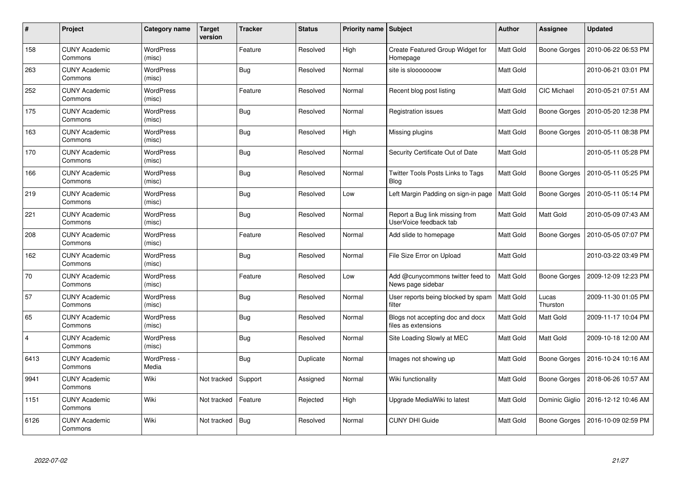| #              | Project                         | Category name              | <b>Target</b><br>version | <b>Tracker</b> | <b>Status</b> | <b>Priority name   Subject</b> |                                                          | Author    | <b>Assignee</b>     | <b>Updated</b>      |
|----------------|---------------------------------|----------------------------|--------------------------|----------------|---------------|--------------------------------|----------------------------------------------------------|-----------|---------------------|---------------------|
| 158            | <b>CUNY Academic</b><br>Commons | <b>WordPress</b><br>(misc) |                          | Feature        | Resolved      | High                           | Create Featured Group Widget for<br>Homepage             | Matt Gold | <b>Boone Gorges</b> | 2010-06-22 06:53 PM |
| 263            | <b>CUNY Academic</b><br>Commons | <b>WordPress</b><br>(misc) |                          | Bug            | Resolved      | Normal                         | site is slooooooow                                       | Matt Gold |                     | 2010-06-21 03:01 PM |
| 252            | <b>CUNY Academic</b><br>Commons | <b>WordPress</b><br>(misc) |                          | Feature        | Resolved      | Normal                         | Recent blog post listing                                 | Matt Gold | <b>CIC Michael</b>  | 2010-05-21 07:51 AM |
| 175            | <b>CUNY Academic</b><br>Commons | <b>WordPress</b><br>(misc) |                          | <b>Bug</b>     | Resolved      | Normal                         | Registration issues                                      | Matt Gold | <b>Boone Gorges</b> | 2010-05-20 12:38 PM |
| 163            | <b>CUNY Academic</b><br>Commons | <b>WordPress</b><br>(misc) |                          | Bug            | Resolved      | High                           | Missing plugins                                          | Matt Gold | Boone Gorges        | 2010-05-11 08:38 PM |
| 170            | <b>CUNY Academic</b><br>Commons | <b>WordPress</b><br>(misc) |                          | <b>Bug</b>     | Resolved      | Normal                         | Security Certificate Out of Date                         | Matt Gold |                     | 2010-05-11 05:28 PM |
| 166            | <b>CUNY Academic</b><br>Commons | <b>WordPress</b><br>(misc) |                          | Bug            | Resolved      | Normal                         | <b>Twitter Tools Posts Links to Tags</b><br><b>Blog</b>  | Matt Gold | <b>Boone Gorges</b> | 2010-05-11 05:25 PM |
| 219            | <b>CUNY Academic</b><br>Commons | WordPress<br>(misc)        |                          | Bug            | Resolved      | Low                            | Left Margin Padding on sign-in page                      | Matt Gold | Boone Gorges        | 2010-05-11 05:14 PM |
| 221            | <b>CUNY Academic</b><br>Commons | <b>WordPress</b><br>(misc) |                          | Bug            | Resolved      | Normal                         | Report a Bug link missing from<br>UserVoice feedback tab | Matt Gold | Matt Gold           | 2010-05-09 07:43 AM |
| 208            | <b>CUNY Academic</b><br>Commons | WordPress<br>(misc)        |                          | Feature        | Resolved      | Normal                         | Add slide to homepage                                    | Matt Gold | Boone Gorges        | 2010-05-05 07:07 PM |
| 162            | <b>CUNY Academic</b><br>Commons | <b>WordPress</b><br>(misc) |                          | <b>Bug</b>     | Resolved      | Normal                         | File Size Error on Upload                                | Matt Gold |                     | 2010-03-22 03:49 PM |
| 70             | <b>CUNY Academic</b><br>Commons | <b>WordPress</b><br>(misc) |                          | Feature        | Resolved      | Low                            | Add @cunycommons twitter feed to<br>News page sidebar    | Matt Gold | <b>Boone Gorges</b> | 2009-12-09 12:23 PM |
| 57             | <b>CUNY Academic</b><br>Commons | <b>WordPress</b><br>(misc) |                          | Bug            | Resolved      | Normal                         | User reports being blocked by spam<br>filter             | Matt Gold | Lucas<br>Thurston   | 2009-11-30 01:05 PM |
| 65             | <b>CUNY Academic</b><br>Commons | WordPress<br>(misc)        |                          | <b>Bug</b>     | Resolved      | Normal                         | Blogs not accepting doc and docx<br>files as extensions  | Matt Gold | Matt Gold           | 2009-11-17 10:04 PM |
| $\overline{4}$ | <b>CUNY Academic</b><br>Commons | WordPress<br>(misc)        |                          | <b>Bug</b>     | Resolved      | Normal                         | Site Loading Slowly at MEC                               | Matt Gold | Matt Gold           | 2009-10-18 12:00 AM |
| 6413           | <b>CUNY Academic</b><br>Commons | WordPress -<br>Media       |                          | Bug            | Duplicate     | Normal                         | Images not showing up                                    | Matt Gold | Boone Gorges        | 2016-10-24 10:16 AM |
| 9941           | <b>CUNY Academic</b><br>Commons | Wiki                       | Not tracked              | Support        | Assigned      | Normal                         | Wiki functionality                                       | Matt Gold | Boone Gorges        | 2018-06-26 10:57 AM |
| 1151           | <b>CUNY Academic</b><br>Commons | Wiki                       | Not tracked              | Feature        | Rejected      | High                           | Upgrade MediaWiki to latest                              | Matt Gold | Dominic Giglio      | 2016-12-12 10:46 AM |
| 6126           | <b>CUNY Academic</b><br>Commons | Wiki                       | Not tracked              | Bug            | Resolved      | Normal                         | <b>CUNY DHI Guide</b>                                    | Matt Gold | <b>Boone Gorges</b> | 2016-10-09 02:59 PM |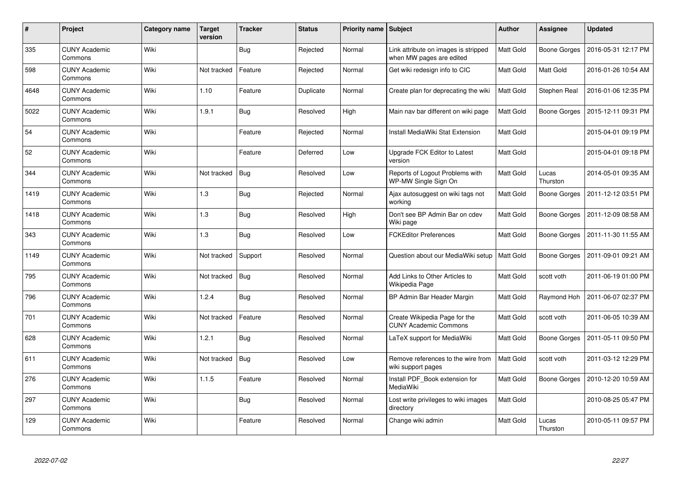| #    | Project                         | <b>Category name</b> | <b>Target</b><br>version | <b>Tracker</b> | <b>Status</b> | <b>Priority name</b> | <b>Subject</b>                                                   | <b>Author</b> | <b>Assignee</b>   | <b>Updated</b>      |
|------|---------------------------------|----------------------|--------------------------|----------------|---------------|----------------------|------------------------------------------------------------------|---------------|-------------------|---------------------|
| 335  | <b>CUNY Academic</b><br>Commons | Wiki                 |                          | <b>Bug</b>     | Rejected      | Normal               | Link attribute on images is stripped<br>when MW pages are edited | Matt Gold     | Boone Gorges      | 2016-05-31 12:17 PM |
| 598  | <b>CUNY Academic</b><br>Commons | Wiki                 | Not tracked              | Feature        | Rejected      | Normal               | Get wiki redesign info to CIC                                    | Matt Gold     | <b>Matt Gold</b>  | 2016-01-26 10:54 AM |
| 4648 | <b>CUNY Academic</b><br>Commons | Wiki                 | 1.10                     | Feature        | Duplicate     | Normal               | Create plan for deprecating the wiki                             | Matt Gold     | Stephen Real      | 2016-01-06 12:35 PM |
| 5022 | <b>CUNY Academic</b><br>Commons | Wiki                 | 1.9.1                    | <b>Bug</b>     | Resolved      | High                 | Main nav bar different on wiki page                              | Matt Gold     | Boone Gorges      | 2015-12-11 09:31 PM |
| 54   | <b>CUNY Academic</b><br>Commons | Wiki                 |                          | Feature        | Rejected      | Normal               | Install MediaWiki Stat Extension                                 | Matt Gold     |                   | 2015-04-01 09:19 PM |
| 52   | <b>CUNY Academic</b><br>Commons | Wiki                 |                          | Feature        | Deferred      | Low                  | Upgrade FCK Editor to Latest<br>version                          | Matt Gold     |                   | 2015-04-01 09:18 PM |
| 344  | <b>CUNY Academic</b><br>Commons | Wiki                 | Not tracked              | <b>Bug</b>     | Resolved      | Low                  | Reports of Logout Problems with<br>WP-MW Single Sign On          | Matt Gold     | Lucas<br>Thurston | 2014-05-01 09:35 AM |
| 1419 | <b>CUNY Academic</b><br>Commons | Wiki                 | 1.3                      | <b>Bug</b>     | Rejected      | Normal               | Ajax autosuggest on wiki tags not<br>working                     | Matt Gold     | Boone Gorges      | 2011-12-12 03:51 PM |
| 1418 | <b>CUNY Academic</b><br>Commons | Wiki                 | 1.3                      | <b>Bug</b>     | Resolved      | High                 | Don't see BP Admin Bar on cdev<br>Wiki page                      | Matt Gold     | Boone Gorges      | 2011-12-09 08:58 AM |
| 343  | <b>CUNY Academic</b><br>Commons | Wiki                 | 1.3                      | <b>Bug</b>     | Resolved      | Low                  | <b>FCKEditor Preferences</b>                                     | Matt Gold     | Boone Gorges      | 2011-11-30 11:55 AM |
| 1149 | <b>CUNY Academic</b><br>Commons | Wiki                 | Not tracked              | Support        | Resolved      | Normal               | Question about our MediaWiki setup                               | Matt Gold     | Boone Gorges      | 2011-09-01 09:21 AM |
| 795  | <b>CUNY Academic</b><br>Commons | Wiki                 | Not tracked              | <b>Bug</b>     | Resolved      | Normal               | Add Links to Other Articles to<br>Wikipedia Page                 | Matt Gold     | scott voth        | 2011-06-19 01:00 PM |
| 796  | <b>CUNY Academic</b><br>Commons | Wiki                 | 1.2.4                    | Bug            | Resolved      | Normal               | BP Admin Bar Header Margin                                       | Matt Gold     | Raymond Hoh       | 2011-06-07 02:37 PM |
| 701  | <b>CUNY Academic</b><br>Commons | Wiki                 | Not tracked              | Feature        | Resolved      | Normal               | Create Wikipedia Page for the<br><b>CUNY Academic Commons</b>    | Matt Gold     | scott voth        | 2011-06-05 10:39 AM |
| 628  | <b>CUNY Academic</b><br>Commons | Wiki                 | 1.2.1                    | Bug            | Resolved      | Normal               | LaTeX support for MediaWiki                                      | Matt Gold     | Boone Gorges      | 2011-05-11 09:50 PM |
| 611  | <b>CUNY Academic</b><br>Commons | Wiki                 | Not tracked              | <b>Bug</b>     | Resolved      | Low                  | Remove references to the wire from<br>wiki support pages         | Matt Gold     | scott voth        | 2011-03-12 12:29 PM |
| 276  | <b>CUNY Academic</b><br>Commons | Wiki                 | 1.1.5                    | Feature        | Resolved      | Normal               | Install PDF_Book extension for<br>MediaWiki                      | Matt Gold     | Boone Gorges      | 2010-12-20 10:59 AM |
| 297  | <b>CUNY Academic</b><br>Commons | Wiki                 |                          | <b>Bug</b>     | Resolved      | Normal               | Lost write privileges to wiki images<br>directory                | Matt Gold     |                   | 2010-08-25 05:47 PM |
| 129  | <b>CUNY Academic</b><br>Commons | Wiki                 |                          | Feature        | Resolved      | Normal               | Change wiki admin                                                | Matt Gold     | Lucas<br>Thurston | 2010-05-11 09:57 PM |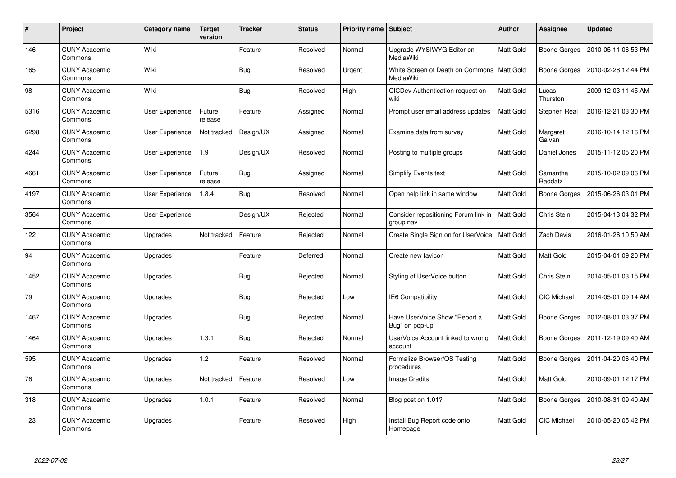| $\pmb{\#}$ | Project                         | <b>Category name</b>   | <b>Target</b><br>version | <b>Tracker</b> | <b>Status</b> | <b>Priority name</b> | Subject                                           | <b>Author</b>    | <b>Assignee</b>     | <b>Updated</b>      |
|------------|---------------------------------|------------------------|--------------------------|----------------|---------------|----------------------|---------------------------------------------------|------------------|---------------------|---------------------|
| 146        | <b>CUNY Academic</b><br>Commons | Wiki                   |                          | Feature        | Resolved      | Normal               | Upgrade WYSIWYG Editor on<br>MediaWiki            | Matt Gold        | Boone Gorges        | 2010-05-11 06:53 PM |
| 165        | <b>CUNY Academic</b><br>Commons | Wiki                   |                          | <b>Bug</b>     | Resolved      | Urgent               | White Screen of Death on Commons<br>MediaWiki     | <b>Matt Gold</b> | Boone Gorges        | 2010-02-28 12:44 PM |
| 98         | <b>CUNY Academic</b><br>Commons | Wiki                   |                          | <b>Bug</b>     | Resolved      | High                 | CICDev Authentication request on<br>wiki          | Matt Gold        | Lucas<br>Thurston   | 2009-12-03 11:45 AM |
| 5316       | <b>CUNY Academic</b><br>Commons | User Experience        | Future<br>release        | Feature        | Assigned      | Normal               | Prompt user email address updates                 | Matt Gold        | Stephen Real        | 2016-12-21 03:30 PM |
| 6298       | <b>CUNY Academic</b><br>Commons | <b>User Experience</b> | Not tracked              | Design/UX      | Assigned      | Normal               | Examine data from survey                          | Matt Gold        | Margaret<br>Galvan  | 2016-10-14 12:16 PM |
| 4244       | <b>CUNY Academic</b><br>Commons | User Experience        | 1.9                      | Design/UX      | Resolved      | Normal               | Posting to multiple groups                        | Matt Gold        | Daniel Jones        | 2015-11-12 05:20 PM |
| 4661       | <b>CUNY Academic</b><br>Commons | User Experience        | Future<br>release        | <b>Bug</b>     | Assigned      | Normal               | Simplify Events text                              | <b>Matt Gold</b> | Samantha<br>Raddatz | 2015-10-02 09:06 PM |
| 4197       | <b>CUNY Academic</b><br>Commons | User Experience        | 1.8.4                    | Bug            | Resolved      | Normal               | Open help link in same window                     | Matt Gold        | Boone Gorges        | 2015-06-26 03:01 PM |
| 3564       | <b>CUNY Academic</b><br>Commons | User Experience        |                          | Design/UX      | Rejected      | Normal               | Consider repositioning Forum link in<br>group nav | <b>Matt Gold</b> | Chris Stein         | 2015-04-13 04:32 PM |
| 122        | <b>CUNY Academic</b><br>Commons | Upgrades               | Not tracked              | Feature        | Rejected      | Normal               | Create Single Sign on for UserVoice               | <b>Matt Gold</b> | Zach Davis          | 2016-01-26 10:50 AM |
| 94         | <b>CUNY Academic</b><br>Commons | Upgrades               |                          | Feature        | Deferred      | Normal               | Create new favicon                                | Matt Gold        | Matt Gold           | 2015-04-01 09:20 PM |
| 1452       | <b>CUNY Academic</b><br>Commons | Upgrades               |                          | <b>Bug</b>     | Rejected      | Normal               | Styling of UserVoice button                       | Matt Gold        | Chris Stein         | 2014-05-01 03:15 PM |
| 79         | <b>CUNY Academic</b><br>Commons | Upgrades               |                          | Bug            | Rejected      | Low                  | IE6 Compatibility                                 | <b>Matt Gold</b> | <b>CIC Michael</b>  | 2014-05-01 09:14 AM |
| 1467       | <b>CUNY Academic</b><br>Commons | Upgrades               |                          | <b>Bug</b>     | Rejected      | Normal               | Have UserVoice Show "Report a<br>Bug" on pop-up   | Matt Gold        | Boone Gorges        | 2012-08-01 03:37 PM |
| 1464       | <b>CUNY Academic</b><br>Commons | Upgrades               | 1.3.1                    | <b>Bug</b>     | Rejected      | Normal               | UserVoice Account linked to wrong<br>account      | Matt Gold        | Boone Gorges        | 2011-12-19 09:40 AM |
| 595        | <b>CUNY Academic</b><br>Commons | Upgrades               | 1.2                      | Feature        | Resolved      | Normal               | Formalize Browser/OS Testing<br>procedures        | Matt Gold        | Boone Gorges        | 2011-04-20 06:40 PM |
| 76         | <b>CUNY Academic</b><br>Commons | Upgrades               | Not tracked              | Feature        | Resolved      | Low                  | <b>Image Credits</b>                              | Matt Gold        | Matt Gold           | 2010-09-01 12:17 PM |
| 318        | <b>CUNY Academic</b><br>Commons | Upgrades               | 1.0.1                    | Feature        | Resolved      | Normal               | Blog post on 1.01?                                | Matt Gold        | Boone Gorges        | 2010-08-31 09:40 AM |
| 123        | <b>CUNY Academic</b><br>Commons | Upgrades               |                          | Feature        | Resolved      | High                 | Install Bug Report code onto<br>Homepage          | Matt Gold        | <b>CIC Michael</b>  | 2010-05-20 05:42 PM |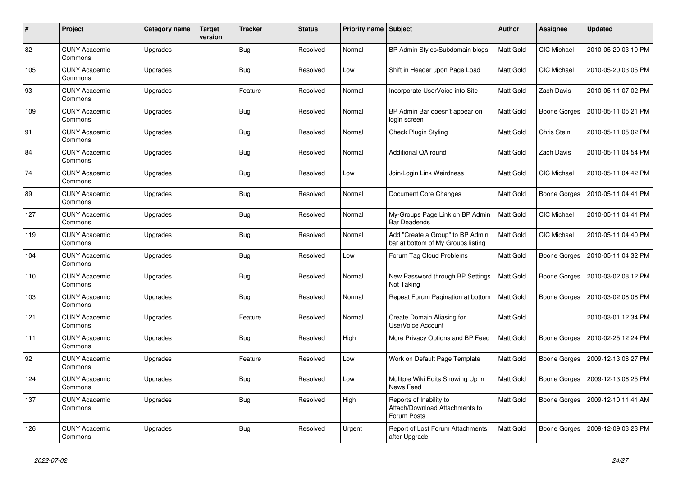| $\pmb{\#}$ | Project                         | Category name | <b>Target</b><br>version | <b>Tracker</b> | <b>Status</b> | Priority name Subject |                                                                          | <b>Author</b> | <b>Assignee</b>     | <b>Updated</b>      |
|------------|---------------------------------|---------------|--------------------------|----------------|---------------|-----------------------|--------------------------------------------------------------------------|---------------|---------------------|---------------------|
| 82         | <b>CUNY Academic</b><br>Commons | Upgrades      |                          | Bug            | Resolved      | Normal                | BP Admin Styles/Subdomain blogs                                          | Matt Gold     | <b>CIC Michael</b>  | 2010-05-20 03:10 PM |
| 105        | <b>CUNY Academic</b><br>Commons | Upgrades      |                          | <b>Bug</b>     | Resolved      | Low                   | Shift in Header upon Page Load                                           | Matt Gold     | <b>CIC Michael</b>  | 2010-05-20 03:05 PM |
| 93         | <b>CUNY Academic</b><br>Commons | Upgrades      |                          | Feature        | Resolved      | Normal                | Incorporate UserVoice into Site                                          | Matt Gold     | <b>Zach Davis</b>   | 2010-05-11 07:02 PM |
| 109        | <b>CUNY Academic</b><br>Commons | Upgrades      |                          | <b>Bug</b>     | Resolved      | Normal                | BP Admin Bar doesn't appear on<br>login screen                           | Matt Gold     | Boone Gorges        | 2010-05-11 05:21 PM |
| 91         | <b>CUNY Academic</b><br>Commons | Upgrades      |                          | <b>Bug</b>     | Resolved      | Normal                | <b>Check Plugin Styling</b>                                              | Matt Gold     | Chris Stein         | 2010-05-11 05:02 PM |
| 84         | <b>CUNY Academic</b><br>Commons | Upgrades      |                          | <b>Bug</b>     | Resolved      | Normal                | Additional QA round                                                      | Matt Gold     | Zach Davis          | 2010-05-11 04:54 PM |
| 74         | <b>CUNY Academic</b><br>Commons | Upgrades      |                          | <b>Bug</b>     | Resolved      | Low                   | Join/Login Link Weirdness                                                | Matt Gold     | CIC Michael         | 2010-05-11 04:42 PM |
| 89         | <b>CUNY Academic</b><br>Commons | Upgrades      |                          | <b>Bug</b>     | Resolved      | Normal                | Document Core Changes                                                    | Matt Gold     | Boone Gorges        | 2010-05-11 04:41 PM |
| 127        | <b>CUNY Academic</b><br>Commons | Upgrades      |                          | <b>Bug</b>     | Resolved      | Normal                | My-Groups Page Link on BP Admin<br><b>Bar Deadends</b>                   | Matt Gold     | CIC Michael         | 2010-05-11 04:41 PM |
| 119        | <b>CUNY Academic</b><br>Commons | Upgrades      |                          | Bug            | Resolved      | Normal                | Add "Create a Group" to BP Admin<br>bar at bottom of My Groups listing   | Matt Gold     | <b>CIC Michael</b>  | 2010-05-11 04:40 PM |
| 104        | <b>CUNY Academic</b><br>Commons | Upgrades      |                          | <b>Bug</b>     | Resolved      | Low                   | Forum Tag Cloud Problems                                                 | Matt Gold     | Boone Gorges        | 2010-05-11 04:32 PM |
| 110        | <b>CUNY Academic</b><br>Commons | Upgrades      |                          | <b>Bug</b>     | Resolved      | Normal                | New Password through BP Settings<br>Not Taking                           | Matt Gold     | Boone Gorges        | 2010-03-02 08:12 PM |
| 103        | <b>CUNY Academic</b><br>Commons | Upgrades      |                          | Bug            | Resolved      | Normal                | Repeat Forum Pagination at bottom                                        | Matt Gold     | Boone Gorges        | 2010-03-02 08:08 PM |
| 121        | <b>CUNY Academic</b><br>Commons | Upgrades      |                          | Feature        | Resolved      | Normal                | Create Domain Aliasing for<br>UserVoice Account                          | Matt Gold     |                     | 2010-03-01 12:34 PM |
| 111        | <b>CUNY Academic</b><br>Commons | Upgrades      |                          | Bug            | Resolved      | High                  | More Privacy Options and BP Feed                                         | Matt Gold     | <b>Boone Gorges</b> | 2010-02-25 12:24 PM |
| 92         | <b>CUNY Academic</b><br>Commons | Upgrades      |                          | Feature        | Resolved      | Low                   | Work on Default Page Template                                            | Matt Gold     | Boone Gorges        | 2009-12-13 06:27 PM |
| 124        | <b>CUNY Academic</b><br>Commons | Upgrades      |                          | Bug            | Resolved      | Low                   | Mulitple Wiki Edits Showing Up in<br>News Feed                           | Matt Gold     | Boone Gorges        | 2009-12-13 06:25 PM |
| 137        | <b>CUNY Academic</b><br>Commons | Upgrades      |                          | Bug            | Resolved      | High                  | Reports of Inability to<br>Attach/Download Attachments to<br>Forum Posts | Matt Gold     | Boone Gorges        | 2009-12-10 11:41 AM |
| 126        | <b>CUNY Academic</b><br>Commons | Upgrades      |                          | <b>Bug</b>     | Resolved      | Urgent                | Report of Lost Forum Attachments<br>after Upgrade                        | Matt Gold     | Boone Gorges        | 2009-12-09 03:23 PM |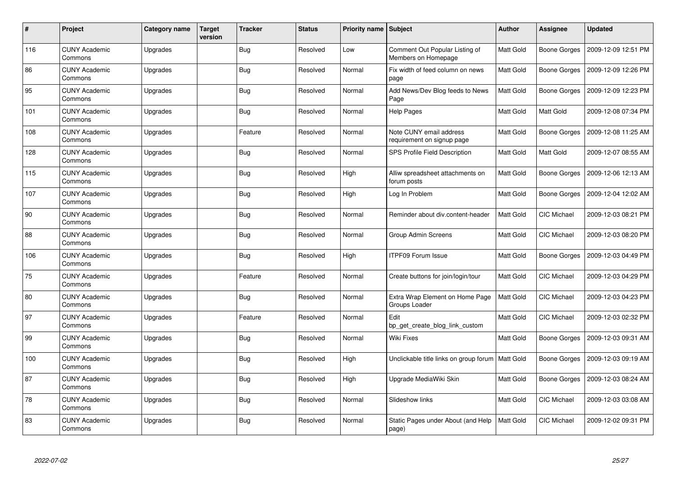| #   | Project                         | Category name | <b>Target</b><br>version | <b>Tracker</b> | <b>Status</b> | <b>Priority name</b> | Subject                                               | <b>Author</b>    | <b>Assignee</b>     | <b>Updated</b>      |
|-----|---------------------------------|---------------|--------------------------|----------------|---------------|----------------------|-------------------------------------------------------|------------------|---------------------|---------------------|
| 116 | <b>CUNY Academic</b><br>Commons | Upgrades      |                          | <b>Bug</b>     | Resolved      | Low                  | Comment Out Popular Listing of<br>Members on Homepage | Matt Gold        | Boone Gorges        | 2009-12-09 12:51 PM |
| 86  | <b>CUNY Academic</b><br>Commons | Upgrades      |                          | Bug            | Resolved      | Normal               | Fix width of feed column on news<br>page              | Matt Gold        | Boone Gorges        | 2009-12-09 12:26 PM |
| 95  | <b>CUNY Academic</b><br>Commons | Upgrades      |                          | <b>Bug</b>     | Resolved      | Normal               | Add News/Dev Blog feeds to News<br>Page               | Matt Gold        | <b>Boone Gorges</b> | 2009-12-09 12:23 PM |
| 101 | <b>CUNY Academic</b><br>Commons | Upgrades      |                          | Bug            | Resolved      | Normal               | Help Pages                                            | Matt Gold        | Matt Gold           | 2009-12-08 07:34 PM |
| 108 | <b>CUNY Academic</b><br>Commons | Upgrades      |                          | Feature        | Resolved      | Normal               | Note CUNY email address<br>requirement on signup page | Matt Gold        | Boone Gorges        | 2009-12-08 11:25 AM |
| 128 | <b>CUNY Academic</b><br>Commons | Upgrades      |                          | Bug            | Resolved      | Normal               | SPS Profile Field Description                         | Matt Gold        | Matt Gold           | 2009-12-07 08:55 AM |
| 115 | <b>CUNY Academic</b><br>Commons | Upgrades      |                          | <b>Bug</b>     | Resolved      | High                 | Alliw spreadsheet attachments on<br>forum posts       | Matt Gold        | Boone Gorges        | 2009-12-06 12:13 AM |
| 107 | <b>CUNY Academic</b><br>Commons | Upgrades      |                          | <b>Bug</b>     | Resolved      | High                 | Log In Problem                                        | Matt Gold        | Boone Gorges        | 2009-12-04 12:02 AM |
| 90  | <b>CUNY Academic</b><br>Commons | Upgrades      |                          | <b>Bug</b>     | Resolved      | Normal               | Reminder about div.content-header                     | <b>Matt Gold</b> | <b>CIC Michael</b>  | 2009-12-03 08:21 PM |
| 88  | <b>CUNY Academic</b><br>Commons | Upgrades      |                          | <b>Bug</b>     | Resolved      | Normal               | <b>Group Admin Screens</b>                            | Matt Gold        | CIC Michael         | 2009-12-03 08:20 PM |
| 106 | <b>CUNY Academic</b><br>Commons | Upgrades      |                          | Bug            | Resolved      | High                 | ITPF09 Forum Issue                                    | Matt Gold        | <b>Boone Gorges</b> | 2009-12-03 04:49 PM |
| 75  | <b>CUNY Academic</b><br>Commons | Upgrades      |                          | Feature        | Resolved      | Normal               | Create buttons for join/login/tour                    | Matt Gold        | <b>CIC Michael</b>  | 2009-12-03 04:29 PM |
| 80  | <b>CUNY Academic</b><br>Commons | Upgrades      |                          | Bug            | Resolved      | Normal               | Extra Wrap Element on Home Page<br>Groups Loader      | Matt Gold        | CIC Michael         | 2009-12-03 04:23 PM |
| 97  | <b>CUNY Academic</b><br>Commons | Upgrades      |                          | Feature        | Resolved      | Normal               | Edit<br>bp get create blog link custom                | <b>Matt Gold</b> | <b>CIC Michael</b>  | 2009-12-03 02:32 PM |
| 99  | <b>CUNY Academic</b><br>Commons | Upgrades      |                          | <b>Bug</b>     | Resolved      | Normal               | Wiki Fixes                                            | Matt Gold        | Boone Gorges        | 2009-12-03 09:31 AM |
| 100 | <b>CUNY Academic</b><br>Commons | Upgrades      |                          | Bug            | Resolved      | High                 | Unclickable title links on group forum                | Matt Gold        | Boone Gorges        | 2009-12-03 09:19 AM |
| 87  | <b>CUNY Academic</b><br>Commons | Upgrades      |                          | Bug            | Resolved      | High                 | Upgrade MediaWiki Skin                                | <b>Matt Gold</b> | Boone Gorges        | 2009-12-03 08:24 AM |
| 78  | <b>CUNY Academic</b><br>Commons | Upgrades      |                          | <b>Bug</b>     | Resolved      | Normal               | Slideshow links                                       | Matt Gold        | CIC Michael         | 2009-12-03 03:08 AM |
| 83  | <b>CUNY Academic</b><br>Commons | Upgrades      |                          | <b>Bug</b>     | Resolved      | Normal               | Static Pages under About (and Help<br>page)           | Matt Gold        | <b>CIC Michael</b>  | 2009-12-02 09:31 PM |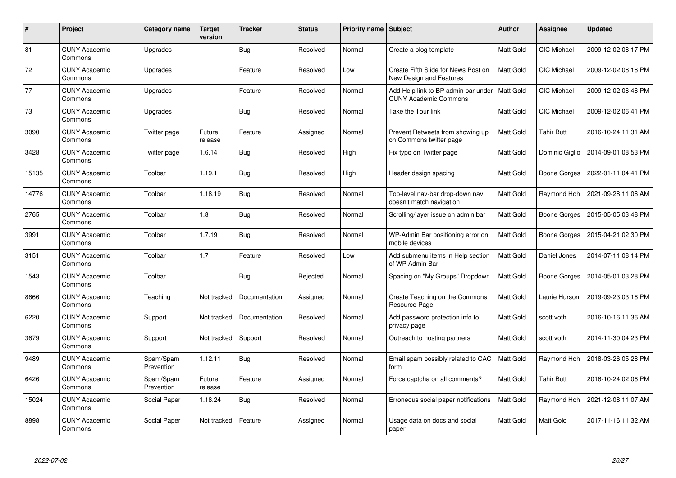| #     | Project                         | <b>Category name</b>    | <b>Target</b><br>version | <b>Tracker</b> | <b>Status</b> | Priority name Subject |                                                                     | <b>Author</b>    | <b>Assignee</b>     | <b>Updated</b>      |
|-------|---------------------------------|-------------------------|--------------------------|----------------|---------------|-----------------------|---------------------------------------------------------------------|------------------|---------------------|---------------------|
| 81    | <b>CUNY Academic</b><br>Commons | Upgrades                |                          | <b>Bug</b>     | Resolved      | Normal                | Create a blog template                                              | <b>Matt Gold</b> | <b>CIC Michael</b>  | 2009-12-02 08:17 PM |
| 72    | <b>CUNY Academic</b><br>Commons | Upgrades                |                          | Feature        | Resolved      | Low                   | Create Fifth Slide for News Post on<br>New Design and Features      | Matt Gold        | <b>CIC Michael</b>  | 2009-12-02 08:16 PM |
| 77    | <b>CUNY Academic</b><br>Commons | Upgrades                |                          | Feature        | Resolved      | Normal                | Add Help link to BP admin bar under<br><b>CUNY Academic Commons</b> | Matt Gold        | <b>CIC Michael</b>  | 2009-12-02 06:46 PM |
| 73    | <b>CUNY Academic</b><br>Commons | Upgrades                |                          | <b>Bug</b>     | Resolved      | Normal                | Take the Tour link                                                  | Matt Gold        | CIC Michael         | 2009-12-02 06:41 PM |
| 3090  | <b>CUNY Academic</b><br>Commons | Twitter page            | Future<br>release        | Feature        | Assigned      | Normal                | Prevent Retweets from showing up<br>on Commons twitter page         | Matt Gold        | <b>Tahir Butt</b>   | 2016-10-24 11:31 AM |
| 3428  | <b>CUNY Academic</b><br>Commons | Twitter page            | 1.6.14                   | <b>Bug</b>     | Resolved      | High                  | Fix typo on Twitter page                                            | Matt Gold        | Dominic Giglio      | 2014-09-01 08:53 PM |
| 15135 | <b>CUNY Academic</b><br>Commons | Toolbar                 | 1.19.1                   | <b>Bug</b>     | Resolved      | High                  | Header design spacing                                               | Matt Gold        | <b>Boone Gorges</b> | 2022-01-11 04:41 PM |
| 14776 | <b>CUNY Academic</b><br>Commons | Toolbar                 | 1.18.19                  | Bug            | Resolved      | Normal                | Top-level nav-bar drop-down nav<br>doesn't match navigation         | Matt Gold        | Raymond Hoh         | 2021-09-28 11:06 AM |
| 2765  | <b>CUNY Academic</b><br>Commons | Toolbar                 | 1.8                      | <b>Bug</b>     | Resolved      | Normal                | Scrolling/layer issue on admin bar                                  | Matt Gold        | Boone Gorges        | 2015-05-05 03:48 PM |
| 3991  | <b>CUNY Academic</b><br>Commons | Toolbar                 | 1.7.19                   | <b>Bug</b>     | Resolved      | Normal                | WP-Admin Bar positioning error on<br>mobile devices                 | Matt Gold        | Boone Gorges        | 2015-04-21 02:30 PM |
| 3151  | <b>CUNY Academic</b><br>Commons | Toolbar                 | 1.7                      | Feature        | Resolved      | Low                   | Add submenu items in Help section<br>of WP Admin Bar                | Matt Gold        | Daniel Jones        | 2014-07-11 08:14 PM |
| 1543  | <b>CUNY Academic</b><br>Commons | Toolbar                 |                          | <b>Bug</b>     | Rejected      | Normal                | Spacing on "My Groups" Dropdown                                     | Matt Gold        | Boone Gorges        | 2014-05-01 03:28 PM |
| 8666  | <b>CUNY Academic</b><br>Commons | Teaching                | Not tracked              | Documentation  | Assigned      | Normal                | Create Teaching on the Commons<br>Resource Page                     | Matt Gold        | Laurie Hurson       | 2019-09-23 03:16 PM |
| 6220  | <b>CUNY Academic</b><br>Commons | Support                 | Not tracked              | Documentation  | Resolved      | Normal                | Add password protection info to<br>privacy page                     | Matt Gold        | scott voth          | 2016-10-16 11:36 AM |
| 3679  | <b>CUNY Academic</b><br>Commons | Support                 | Not tracked              | Support        | Resolved      | Normal                | Outreach to hosting partners                                        | Matt Gold        | scott voth          | 2014-11-30 04:23 PM |
| 9489  | <b>CUNY Academic</b><br>Commons | Spam/Spam<br>Prevention | 1.12.11                  | Bug            | Resolved      | Normal                | Email spam possibly related to CAC<br>form                          | Matt Gold        | Raymond Hoh         | 2018-03-26 05:28 PM |
| 6426  | <b>CUNY Academic</b><br>Commons | Spam/Spam<br>Prevention | Future<br>release        | Feature        | Assigned      | Normal                | Force captcha on all comments?                                      | Matt Gold        | Tahir Butt          | 2016-10-24 02:06 PM |
| 15024 | <b>CUNY Academic</b><br>Commons | Social Paper            | 1.18.24                  | <b>Bug</b>     | Resolved      | Normal                | Erroneous social paper notifications                                | Matt Gold        | Raymond Hoh         | 2021-12-08 11:07 AM |
| 8898  | <b>CUNY Academic</b><br>Commons | Social Paper            | Not tracked              | Feature        | Assigned      | Normal                | Usage data on docs and social<br>paper                              | Matt Gold        | Matt Gold           | 2017-11-16 11:32 AM |